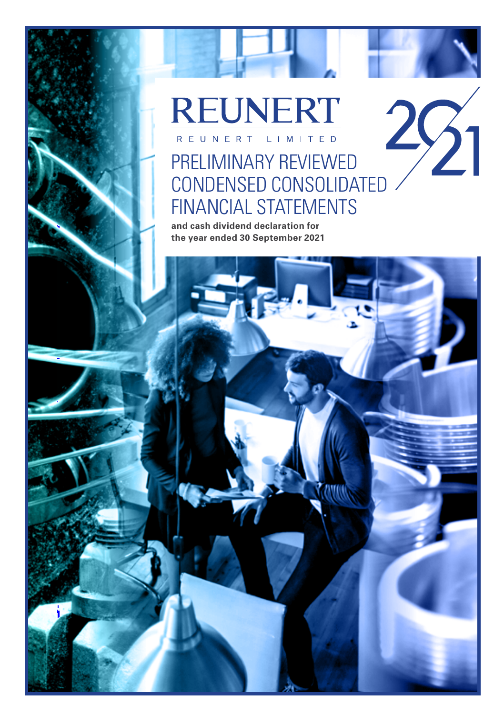# **REUNERT** REUNERT LIMITED

# $29^{1}$ PRELIMINARY REVIEWED CONDENSED CONSOLIDATED FINANCIAL STATEMENTS

**and cash dividend declaration for the year ended 30 September 2021**

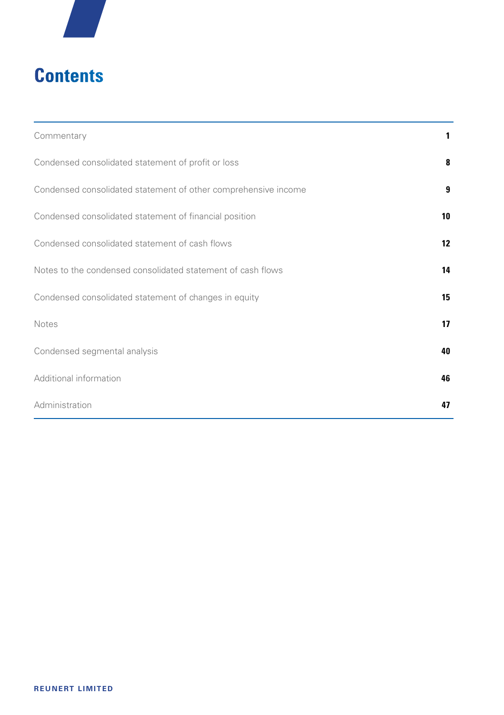

# **Contents**

| Commentary                                                     | 1. |
|----------------------------------------------------------------|----|
| Condensed consolidated statement of profit or loss             | 8  |
| Condensed consolidated statement of other comprehensive income | 9  |
| Condensed consolidated statement of financial position         | 10 |
| Condensed consolidated statement of cash flows                 | 12 |
| Notes to the condensed consolidated statement of cash flows    | 14 |
| Condensed consolidated statement of changes in equity          | 15 |
| <b>Notes</b>                                                   | 17 |
| Condensed segmental analysis                                   | 40 |
| Additional information                                         | 46 |
| Administration                                                 | 47 |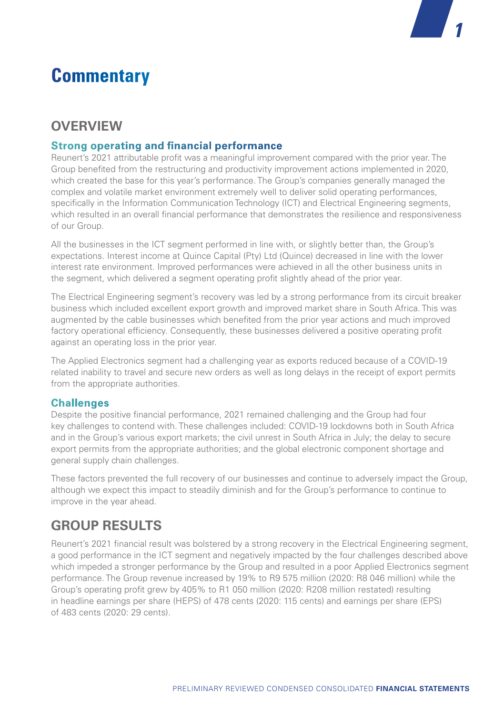# **Commentary**

## **OVERVIEW**

#### **Strong operating and financial performance**

Reunert's 2021 attributable profit was a meaningful improvement compared with the prior year. The Group benefited from the restructuring and productivity improvement actions implemented in 2020, which created the base for this year's performance. The Group's companies generally managed the complex and volatile market environment extremely well to deliver solid operating performances, specifically in the Information Communication Technology (ICT) and Electrical Engineering segments, which resulted in an overall financial performance that demonstrates the resilience and responsiveness of our Group.

All the businesses in the ICT segment performed in line with, or slightly better than, the Group's expectations. Interest income at Quince Capital (Pty) Ltd (Quince) decreased in line with the lower interest rate environment. Improved performances were achieved in all the other business units in the segment, which delivered a segment operating profit slightly ahead of the prior year.

The Electrical Engineering segment's recovery was led by a strong performance from its circuit breaker business which included excellent export growth and improved market share in South Africa. This was augmented by the cable businesses which benefited from the prior year actions and much improved factory operational efficiency. Consequently, these businesses delivered a positive operating profit against an operating loss in the prior year.

The Applied Electronics segment had a challenging year as exports reduced because of a COVID-19 related inability to travel and secure new orders as well as long delays in the receipt of export permits from the appropriate authorities.

#### **Challenges**

Despite the positive financial performance, 2021 remained challenging and the Group had four key challenges to contend with. These challenges included: COVID-19 lockdowns both in South Africa and in the Group's various export markets; the civil unrest in South Africa in July; the delay to secure export permits from the appropriate authorities; and the global electronic component shortage and general supply chain challenges.

These factors prevented the full recovery of our businesses and continue to adversely impact the Group, although we expect this impact to steadily diminish and for the Group's performance to continue to improve in the year ahead.

## **GROUP RESULTS**

Reunert's 2021 financial result was bolstered by a strong recovery in the Electrical Engineering segment, a good performance in the ICT segment and negatively impacted by the four challenges described above which impeded a stronger performance by the Group and resulted in a poor Applied Electronics segment performance. The Group revenue increased by 19% to R9 575 million (2020: R8 046 million) while the Group's operating profit grew by 405% to R1 050 million (2020: R208 million restated) resulting in headline earnings per share (HEPS) of 478 cents (2020: 115 cents) and earnings per share (EPS) of 483 cents (2020: 29 cents).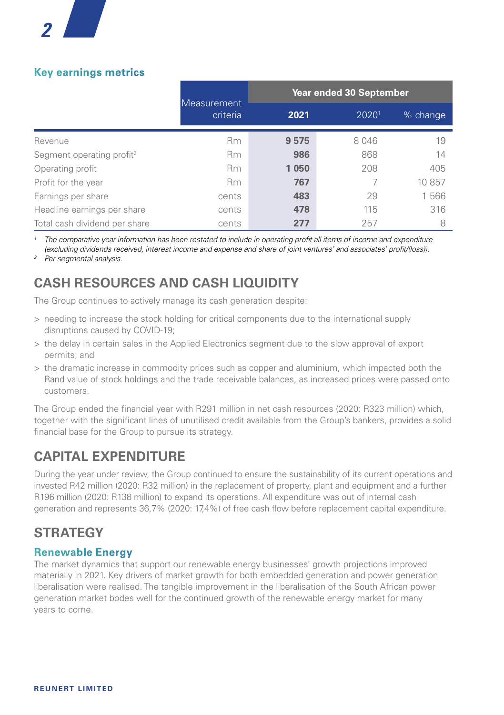

#### **Key earnings metrics**

|                                       |                                | Year ended 30 September |       |          |
|---------------------------------------|--------------------------------|-------------------------|-------|----------|
|                                       | <b>Measurement</b><br>criteria | 2021                    | 20201 | % change |
| Revenue                               | <b>Rm</b>                      | 9575                    | 8046  | 19       |
| Segment operating profit <sup>2</sup> | <b>Rm</b>                      | 986                     | 868   | 14       |
| Operating profit                      | <b>Rm</b>                      | 1 0 5 0                 | 208   | 405      |
| Profit for the year                   | <b>Rm</b>                      | 767                     |       | 10 857   |
| Earnings per share                    | cents                          | 483                     | 29    | 1566     |
| Headline earnings per share           | cents                          | 478                     | 115   | 316      |
| Total cash dividend per share         | cents                          | 277                     | 257   | 8        |

*1 The comparative year information has been restated to include in operating profit all items of income and expenditure (excluding dividends received, interest income and expense and share of joint ventures' and associates' profit/(loss)).*

*<sup>2</sup> Per segmental analysis.*

## **CASH RESOURCES AND CASH LIQUIDITY**

The Group continues to actively manage its cash generation despite:

- > needing to increase the stock holding for critical components due to the international supply disruptions caused by COVID-19;
- > the delay in certain sales in the Applied Electronics segment due to the slow approval of export permits; and
- > the dramatic increase in commodity prices such as copper and aluminium, which impacted both the Rand value of stock holdings and the trade receivable balances, as increased prices were passed onto customers.

The Group ended the financial year with R291 million in net cash resources (2020: R323 million) which, together with the significant lines of unutilised credit available from the Group's bankers, provides a solid financial base for the Group to pursue its strategy.

## **CAPITAL EXPENDITURE**

During the year under review, the Group continued to ensure the sustainability of its current operations and invested R42 million (2020: R32 million) in the replacement of property, plant and equipment and a further R196 million (2020: R138 million) to expand its operations. All expenditure was out of internal cash generation and represents 36,7% (2020: 17,4%) of free cash flow before replacement capital expenditure.

## **STRATEGY**

#### **Renewable Energy**

The market dynamics that support our renewable energy businesses' growth projections improved materially in 2021. Key drivers of market growth for both embedded generation and power generation liberalisation were realised. The tangible improvement in the liberalisation of the South African power generation market bodes well for the continued growth of the renewable energy market for many years to come.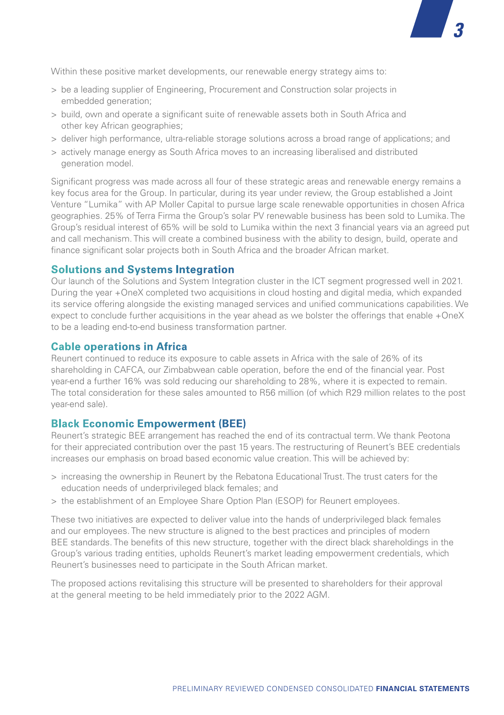Within these positive market developments, our renewable energy strategy aims to:

- > be a leading supplier of Engineering, Procurement and Construction solar projects in embedded generation;
- > build, own and operate a significant suite of renewable assets both in South Africa and other key African geographies;
- > deliver high performance, ultra-reliable storage solutions across a broad range of applications; and

*3*

> actively manage energy as South Africa moves to an increasing liberalised and distributed generation model.

Significant progress was made across all four of these strategic areas and renewable energy remains a key focus area for the Group. In particular, during its year under review, the Group established a Joint Venture "Lumika" with AP Moller Capital to pursue large scale renewable opportunities in chosen Africa geographies. 25% of Terra Firma the Group's solar PV renewable business has been sold to Lumika. The Group's residual interest of 65% will be sold to Lumika within the next 3 financial years via an agreed put and call mechanism. This will create a combined business with the ability to design, build, operate and finance significant solar projects both in South Africa and the broader African market.

#### **Solutions and Systems Integration**

Our launch of the Solutions and System Integration cluster in the ICT segment progressed well in 2021. During the year +OneX completed two acquisitions in cloud hosting and digital media, which expanded its service offering alongside the existing managed services and unified communications capabilities. We expect to conclude further acquisitions in the year ahead as we bolster the offerings that enable +OneX to be a leading end-to-end business transformation partner.

#### **Cable operations in Africa**

Reunert continued to reduce its exposure to cable assets in Africa with the sale of 26% of its shareholding in CAFCA, our Zimbabwean cable operation, before the end of the financial year. Post year-end a further 16% was sold reducing our shareholding to 28%, where it is expected to remain. The total consideration for these sales amounted to R56 million (of which R29 million relates to the post year-end sale).

#### **Black Economic Empowerment (BEE)**

Reunert's strategic BEE arrangement has reached the end of its contractual term. We thank Peotona for their appreciated contribution over the past 15 years. The restructuring of Reunert's BEE credentials increases our emphasis on broad based economic value creation. This will be achieved by:

- > increasing the ownership in Reunert by the Rebatona Educational Trust. The trust caters for the education needs of underprivileged black females; and
- > the establishment of an Employee Share Option Plan (ESOP) for Reunert employees.

These two initiatives are expected to deliver value into the hands of underprivileged black females and our employees. The new structure is aligned to the best practices and principles of modern BEE standards. The benefits of this new structure, together with the direct black shareholdings in the Group's various trading entities, upholds Reunert's market leading empowerment credentials, which Reunert's businesses need to participate in the South African market.

The proposed actions revitalising this structure will be presented to shareholders for their approval at the general meeting to be held immediately prior to the 2022 AGM.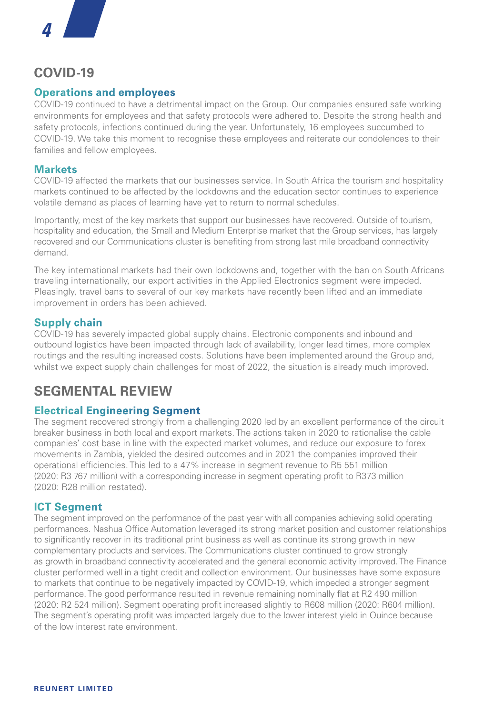## **COVID-19**

#### **Operations and employees**

COVID-19 continued to have a detrimental impact on the Group. Our companies ensured safe working environments for employees and that safety protocols were adhered to. Despite the strong health and safety protocols, infections continued during the year. Unfortunately, 16 employees succumbed to COVID-19. We take this moment to recognise these employees and reiterate our condolences to their families and fellow employees.

#### **Markets**

COVID-19 affected the markets that our businesses service. In South Africa the tourism and hospitality markets continued to be affected by the lockdowns and the education sector continues to experience volatile demand as places of learning have yet to return to normal schedules.

Importantly, most of the key markets that support our businesses have recovered. Outside of tourism, hospitality and education, the Small and Medium Enterprise market that the Group services, has largely recovered and our Communications cluster is benefiting from strong last mile broadband connectivity demand.

The key international markets had their own lockdowns and, together with the ban on South Africans traveling internationally, our export activities in the Applied Electronics segment were impeded. Pleasingly, travel bans to several of our key markets have recently been lifted and an immediate improvement in orders has been achieved.

#### **Supply chain**

COVID-19 has severely impacted global supply chains. Electronic components and inbound and outbound logistics have been impacted through lack of availability, longer lead times, more complex routings and the resulting increased costs. Solutions have been implemented around the Group and, whilst we expect supply chain challenges for most of 2022, the situation is already much improved.

## **SEGMENTAL REVIEW**

#### **Electrical Engineering Segment**

The segment recovered strongly from a challenging 2020 led by an excellent performance of the circuit breaker business in both local and export markets. The actions taken in 2020 to rationalise the cable companies' cost base in line with the expected market volumes, and reduce our exposure to forex movements in Zambia, yielded the desired outcomes and in 2021 the companies improved their operational efficiencies. This led to a 47% increase in segment revenue to R5 551 million (2020: R3 767 million) with a corresponding increase in segment operating profit to R373 million (2020: R28 million restated).

#### **ICT Segment**

The segment improved on the performance of the past year with all companies achieving solid operating performances. Nashua Office Automation leveraged its strong market position and customer relationships to significantly recover in its traditional print business as well as continue its strong growth in new complementary products and services. The Communications cluster continued to grow strongly as growth in broadband connectivity accelerated and the general economic activity improved. The Finance cluster performed well in a tight credit and collection environment. Our businesses have some exposure to markets that continue to be negatively impacted by COVID-19, which impeded a stronger segment performance. The good performance resulted in revenue remaining nominally flat at R2 490 million (2020: R2 524 million). Segment operating profit increased slightly to R608 million (2020: R604 million). The segment's operating profit was impacted largely due to the lower interest yield in Quince because of the low interest rate environment.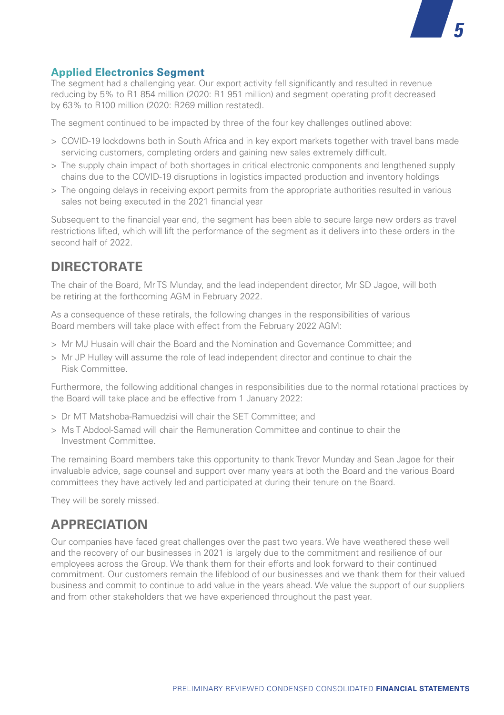#### **Applied Electronics Segment**

The segment had a challenging year. Our export activity fell significantly and resulted in revenue reducing by 5% to R1 854 million (2020: R1 951 million) and segment operating profit decreased by 63% to R100 million (2020: R269 million restated).

The segment continued to be impacted by three of the four key challenges outlined above:

- > COVID-19 lockdowns both in South Africa and in key export markets together with travel bans made servicing customers, completing orders and gaining new sales extremely difficult.
- > The supply chain impact of both shortages in critical electronic components and lengthened supply chains due to the COVID-19 disruptions in logistics impacted production and inventory holdings
- > The ongoing delays in receiving export permits from the appropriate authorities resulted in various sales not being executed in the 2021 financial year

Subsequent to the financial year end, the segment has been able to secure large new orders as travel restrictions lifted, which will lift the performance of the segment as it delivers into these orders in the second half of 2022.

## **DIRECTORATE**

The chair of the Board, Mr TS Munday, and the lead independent director, Mr SD Jagoe, will both be retiring at the forthcoming AGM in February 2022.

As a consequence of these retirals, the following changes in the responsibilities of various Board members will take place with effect from the February 2022 AGM:

- > Mr MJ Husain will chair the Board and the Nomination and Governance Committee; and
- > Mr JP Hulley will assume the role of lead independent director and continue to chair the Risk Committee.

Furthermore, the following additional changes in responsibilities due to the normal rotational practices by the Board will take place and be effective from 1 January 2022:

- > Dr MT Matshoba-Ramuedzisi will chair the SET Committee; and
- > Ms T Abdool-Samad will chair the Remuneration Committee and continue to chair the Investment Committee.

The remaining Board members take this opportunity to thank Trevor Munday and Sean Jagoe for their invaluable advice, sage counsel and support over many years at both the Board and the various Board committees they have actively led and participated at during their tenure on the Board.

They will be sorely missed.

## **APPRECIATION**

Our companies have faced great challenges over the past two years. We have weathered these well and the recovery of our businesses in 2021 is largely due to the commitment and resilience of our employees across the Group. We thank them for their efforts and look forward to their continued commitment. Our customers remain the lifeblood of our businesses and we thank them for their valued business and commit to continue to add value in the years ahead. We value the support of our suppliers and from other stakeholders that we have experienced throughout the past year.

*5*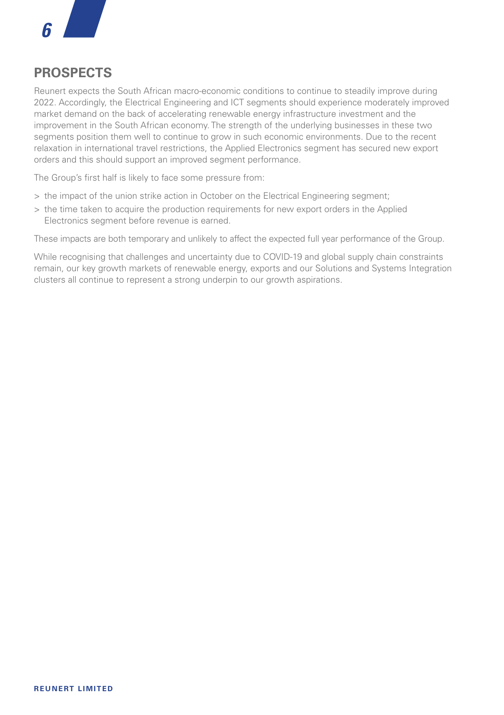

## **PROSPECTS**

Reunert expects the South African macro-economic conditions to continue to steadily improve during 2022. Accordingly, the Electrical Engineering and ICT segments should experience moderately improved market demand on the back of accelerating renewable energy infrastructure investment and the improvement in the South African economy. The strength of the underlying businesses in these two segments position them well to continue to grow in such economic environments. Due to the recent relaxation in international travel restrictions, the Applied Electronics segment has secured new export orders and this should support an improved segment performance.

The Group's first half is likely to face some pressure from:

- > the impact of the union strike action in October on the Electrical Engineering segment;
- > the time taken to acquire the production requirements for new export orders in the Applied Electronics segment before revenue is earned.

These impacts are both temporary and unlikely to affect the expected full year performance of the Group.

While recognising that challenges and uncertainty due to COVID-19 and global supply chain constraints remain, our key growth markets of renewable energy, exports and our Solutions and Systems Integration clusters all continue to represent a strong underpin to our growth aspirations.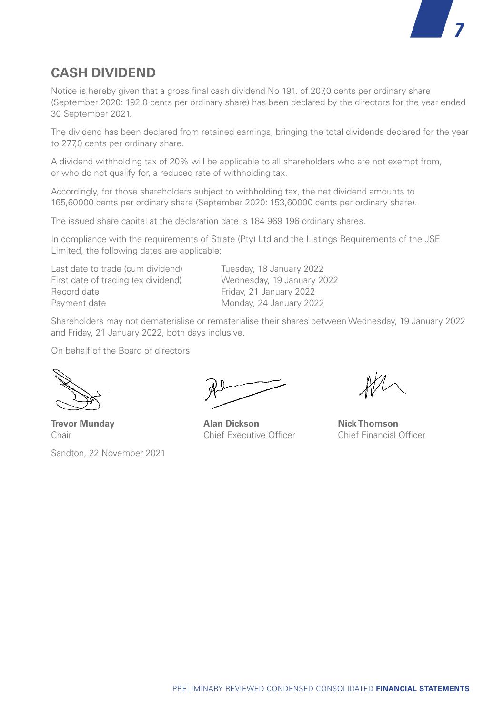

## **CASH DIVIDEND**

Notice is hereby given that a gross final cash dividend No 191. of 207,0 cents per ordinary share (September 2020: 192,0 cents per ordinary share) has been declared by the directors for the year ended 30 September 2021.

The dividend has been declared from retained earnings, bringing the total dividends declared for the year to 277,0 cents per ordinary share.

A dividend withholding tax of 20% will be applicable to all shareholders who are not exempt from, or who do not qualify for, a reduced rate of withholding tax.

Accordingly, for those shareholders subject to withholding tax, the net dividend amounts to 165,60000 cents per ordinary share (September 2020: 153,60000 cents per ordinary share).

The issued share capital at the declaration date is 184 969 196 ordinary shares.

In compliance with the requirements of Strate (Pty) Ltd and the Listings Requirements of the JSE Limited, the following dates are applicable:

Last date to trade (cum dividend) Tuesday, 18 January 2022 First date of trading (ex dividend) Wednesday, 19 January 2022<br>
Record date **Canadian Contract Prices** Friday 21 January 2022 Payment date Monday, 24 January 2022

Friday, 21 January 2022

Shareholders may not dematerialise or rematerialise their shares between Wednesday, 19 January 2022 and Friday, 21 January 2022, both days inclusive.

On behalf of the Board of directors

Sandton, 22 November 2021

**Trevor Munday Alan Dickson Nick Thomson** Chair Chief Executive Officer Chief Financial Officer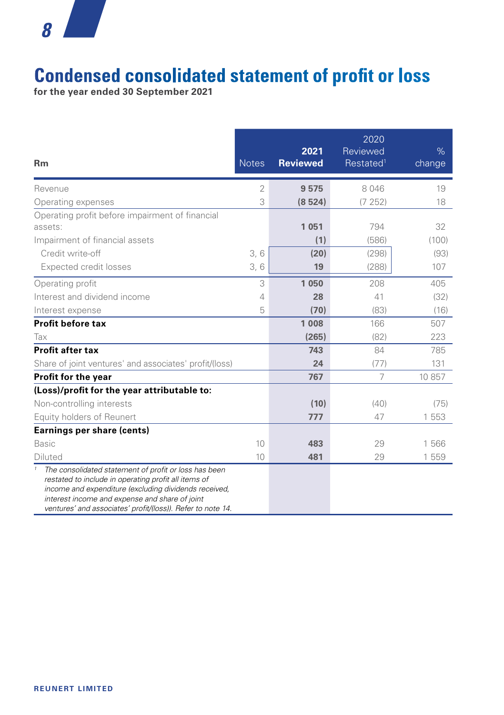# **Condensed consolidated statement of profit or loss**

**for the year ended 30 September 2021** 

| <b>Rm</b>                                                                                                                                                                                                                                                                               | <b>Notes</b>   | 2021<br><b>Reviewed</b> | 2020<br>Reviewed<br>Restated <sup>1</sup> | $\%$<br>change |
|-----------------------------------------------------------------------------------------------------------------------------------------------------------------------------------------------------------------------------------------------------------------------------------------|----------------|-------------------------|-------------------------------------------|----------------|
| Revenue                                                                                                                                                                                                                                                                                 | $\overline{2}$ | 9575                    | 8 0 4 6                                   | 19             |
| Operating expenses                                                                                                                                                                                                                                                                      | 3              | (8524)                  | (7252)                                    | 18             |
| Operating profit before impairment of financial<br>assets:                                                                                                                                                                                                                              |                | 1 0 5 1                 | 794                                       | 32             |
| Impairment of financial assets                                                                                                                                                                                                                                                          |                | (1)                     | (586)                                     | (100)          |
| Credit write-off                                                                                                                                                                                                                                                                        | 3,6            | (20)                    | (298)                                     | (93)           |
| Expected credit losses                                                                                                                                                                                                                                                                  | 3,6            | 19                      | (288)                                     | 107            |
| Operating profit                                                                                                                                                                                                                                                                        | 3              | 1 0 5 0                 | 208                                       | 405            |
| Interest and dividend income                                                                                                                                                                                                                                                            | 4              | 28                      | 41                                        | (32)           |
| Interest expense                                                                                                                                                                                                                                                                        | 5              | (70)                    | (83)                                      | (16)           |
| Profit before tax                                                                                                                                                                                                                                                                       |                | 1 0 0 8                 | 166                                       | 507            |
| Tax                                                                                                                                                                                                                                                                                     |                | (265)                   | (82)                                      | 223            |
| Profit after tax                                                                                                                                                                                                                                                                        |                | 743                     | 84                                        | 785            |
| Share of joint ventures' and associates' profit/(loss)                                                                                                                                                                                                                                  |                | 24                      | (77)                                      | 131            |
| Profit for the year                                                                                                                                                                                                                                                                     |                | 767                     | 7                                         | 10 857         |
| (Loss)/profit for the year attributable to:                                                                                                                                                                                                                                             |                |                         |                                           |                |
| Non-controlling interests                                                                                                                                                                                                                                                               |                | (10)                    | (40)                                      | (75)           |
| Equity holders of Reunert                                                                                                                                                                                                                                                               |                | 777                     | 47                                        | 1 5 5 3        |
| Earnings per share (cents)                                                                                                                                                                                                                                                              |                |                         |                                           |                |
| <b>Basic</b>                                                                                                                                                                                                                                                                            | 10             | 483                     | 29                                        | 1566           |
| Diluted                                                                                                                                                                                                                                                                                 | 10             | 481                     | 29                                        | 1 559          |
| The consolidated statement of profit or loss has been<br>restated to include in operating profit all items of<br>income and expenditure (excluding dividends received,<br>interest income and expense and share of joint<br>ventures' and associates' profit/(loss)). Refer to note 14. |                |                         |                                           |                |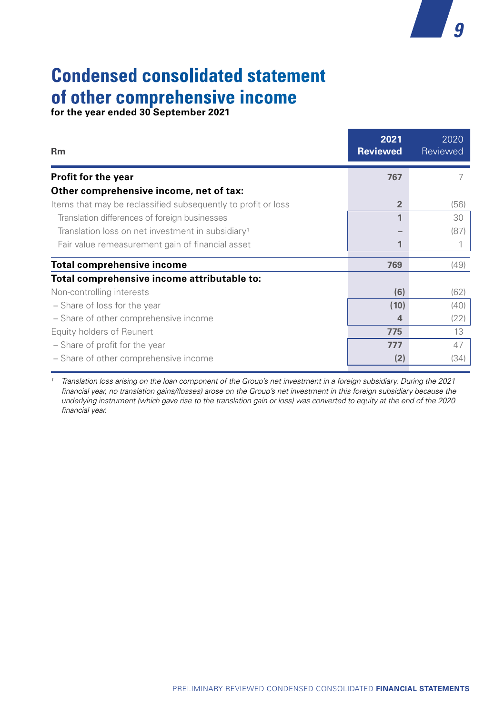# **Condensed consolidated statement of other comprehensive income**

**for the year ended 30 September 2021**

| <b>Rm</b>                                                     | 2021<br><b>Reviewed</b> | 2020<br>Reviewed |
|---------------------------------------------------------------|-------------------------|------------------|
| Profit for the year                                           | 767                     |                  |
| Other comprehensive income, net of tax:                       |                         |                  |
| Items that may be reclassified subsequently to profit or loss | $\overline{2}$          | (56)             |
| Translation differences of foreign businesses                 | 1                       | 30               |
| Translation loss on net investment in subsidiary <sup>1</sup> |                         | (87)             |
| Fair value remeasurement gain of financial asset              | 1                       |                  |
| <b>Total comprehensive income</b>                             | 769                     | (49)             |
| Total comprehensive income attributable to:                   |                         |                  |
| Non-controlling interests                                     | (6)                     | (62)             |
| - Share of loss for the year                                  | (10)                    | (40)             |
| - Share of other comprehensive income                         | 4                       | (22)             |
| Equity holders of Reunert                                     | 775                     | 13               |
| - Share of profit for the year                                | 777                     | 47               |
| - Share of other comprehensive income                         | (2)                     | (34)             |
|                                                               |                         |                  |

*9*

*<sup>1</sup> Translation loss arising on the loan component of the Group's net investment in a foreign subsidiary. During the 2021 financial year, no translation gains/(losses) arose on the Group's net investment in this foreign subsidiary because the underlying instrument (which gave rise to the translation gain or loss) was converted to equity at the end of the 2020 financial year.*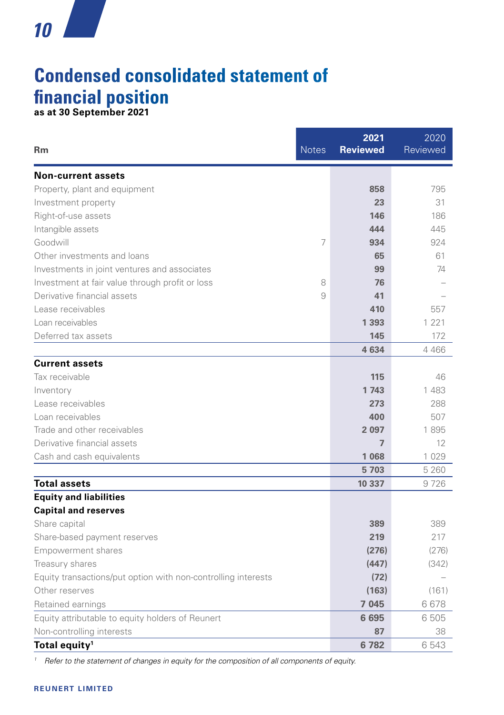## **Condensed consolidated statement of financial position as at 30 September 2021**

**2021**

**4 634** 4 466

2020 Reviewed

**Rm** Notes **Reviewed Non-current assets** Property, plant and equipment **858** 795 **Investment property 23** 31 Right-of-use assets **146** 186 Intangible assets **444** 445 Goodwill 7 **934** 924 Other investments and loans<br> **65** 61 Investments in joint ventures and associates **99** 74 Investment at fair value through profit or loss 8 **76 76** Derivative financial assets 9 **41** – Lease receivables **410** 557 Loan receivables **1 393** 1 221 Deferred tax assets **145** 172 **Current assets** Tax receivable **115** 46 Inventory **1 743** 1 483 Lease receivables **273** 288 Loan receivables **400** 507 Trade and other receivables **2 097** 1 895 Derivative financial assets **7** 12

Cash and cash equivalents **1 068** 1 029  **5 703** 5 260 **Total assets** 10 337 9 726 **Equity and liabilities Capital and reserves** Share capital **389** 389 Share-based payment reserves **219** 217 Empowerment shares **(276)** (276) Treasury shares **(447)** (342) Equity transactions/put option with non-controlling interests **(72)** – Other reserves **(163)** (161) Retained earnings **7 045** 6 678 Equity attributable to equity holders of Reunert **6 695** 6 505 Non-controlling interests **87** 38 **Total equity<sup>1</sup> 6 782 6 543 <b>6 782 6 543** 

*<sup>1</sup> Refer to the statement of changes in equity for the composition of all components of equity.*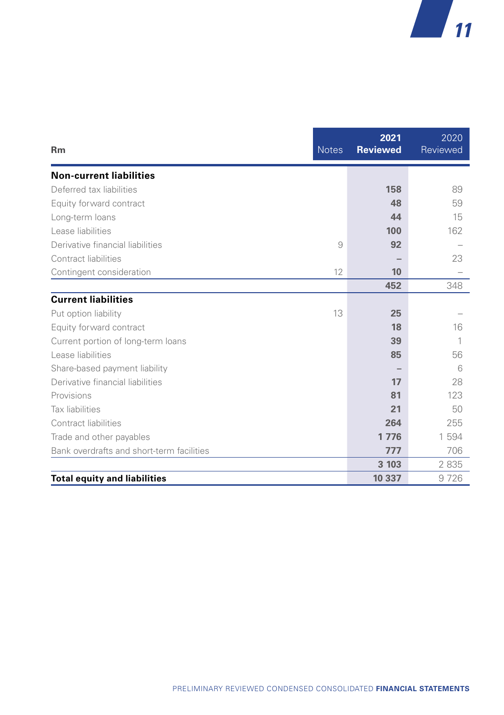| <b>Rm</b>                                 | <b>Notes</b> | 2021<br><b>Reviewed</b> | 2020<br>Reviewed |
|-------------------------------------------|--------------|-------------------------|------------------|
| <b>Non-current liabilities</b>            |              |                         |                  |
| Deferred tax liabilities                  |              | 158                     | 89               |
| Equity forward contract                   |              | 48                      | 59               |
| Long-term loans                           |              | 44                      | 15               |
| Lease liabilities                         |              | 100                     | 162              |
| Derivative financial liabilities          | 9            | 92                      |                  |
| Contract liabilities                      |              |                         | 23               |
| Contingent consideration                  | 12           | 10                      |                  |
|                                           |              | 452                     | 348              |
| <b>Current liabilities</b>                |              |                         |                  |
| Put option liability                      | 13           | 25                      |                  |
| Equity forward contract                   |              | 18                      | 16               |
| Current portion of long-term loans        |              | 39                      | 1                |
| Lease liabilities                         |              | 85                      | 56               |
| Share-based payment liability             |              |                         | 6                |
| Derivative financial liabilities          |              | 17                      | 28               |
| Provisions                                |              | 81                      | 123              |
| Tax liabilities                           |              | 21                      | 50               |
| Contract liabilities                      |              | 264                     | 255              |
| Trade and other payables                  |              | 1 7 7 6                 | 1 594            |
| Bank overdrafts and short-term facilities |              | 777                     | 706              |
|                                           |              | 3 103                   | 2835             |
| <b>Total equity and liabilities</b>       |              | 10 337                  | 9726             |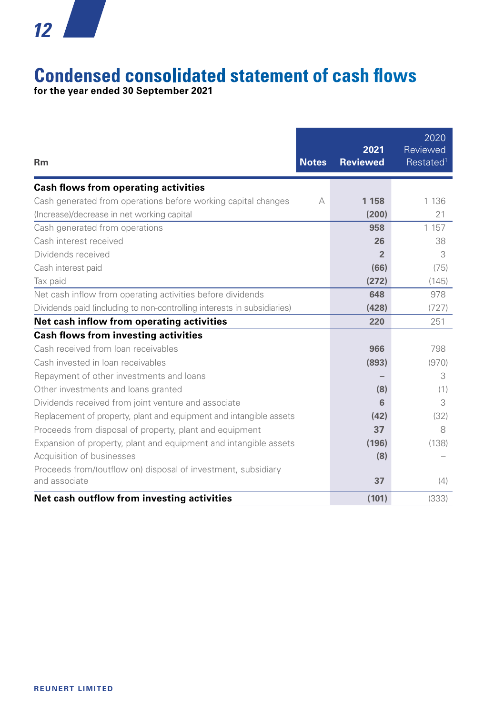# **Condensed consolidated statement of cash flows**

**for the year ended 30 September 2021** 

| <b>Rm</b>                                                               | <b>Notes</b> | 2021<br><b>Reviewed</b> | 2020<br>Reviewed<br>Restated <sup>1</sup> |
|-------------------------------------------------------------------------|--------------|-------------------------|-------------------------------------------|
| Cash flows from operating activities                                    |              |                         |                                           |
| Cash generated from operations before working capital changes           | А            | 1 1 5 8                 | 1 1 3 6                                   |
| (Increase)/decrease in net working capital                              |              | (200)                   | 21                                        |
| Cash generated from operations                                          |              | 958                     | 1 1 5 7                                   |
| Cash interest received                                                  |              | 26                      | 38                                        |
| Dividends received                                                      |              | $\overline{2}$          | 3                                         |
| Cash interest paid                                                      |              | (66)                    | (75)                                      |
| Tax paid                                                                |              | (272)                   | (145)                                     |
| Net cash inflow from operating activities before dividends              |              | 648                     | 978                                       |
| Dividends paid (including to non-controlling interests in subsidiaries) |              | (428)                   | (727)                                     |
| Net cash inflow from operating activities                               |              | 220                     | 251                                       |
| <b>Cash flows from investing activities</b>                             |              |                         |                                           |
| Cash received from loan receivables                                     |              | 966                     | 798                                       |
| Cash invested in loan receivables                                       |              | (893)                   | (970)                                     |
| Repayment of other investments and loans                                |              |                         | 3                                         |
| Other investments and loans granted                                     |              | (8)                     | (1)                                       |
| Dividends received from joint venture and associate                     |              | 6                       | 3                                         |
| Replacement of property, plant and equipment and intangible assets      |              | (42)                    | (32)                                      |
| Proceeds from disposal of property, plant and equipment                 |              | 37                      | 8                                         |
| Expansion of property, plant and equipment and intangible assets        |              | (196)                   | (138)                                     |
| Acquisition of businesses                                               |              | (8)                     |                                           |
| Proceeds from/(outflow on) disposal of investment, subsidiary           |              |                         |                                           |
| and associate                                                           |              | 37                      | (4)                                       |
| Net cash outflow from investing activities                              |              | (101)                   | (333)                                     |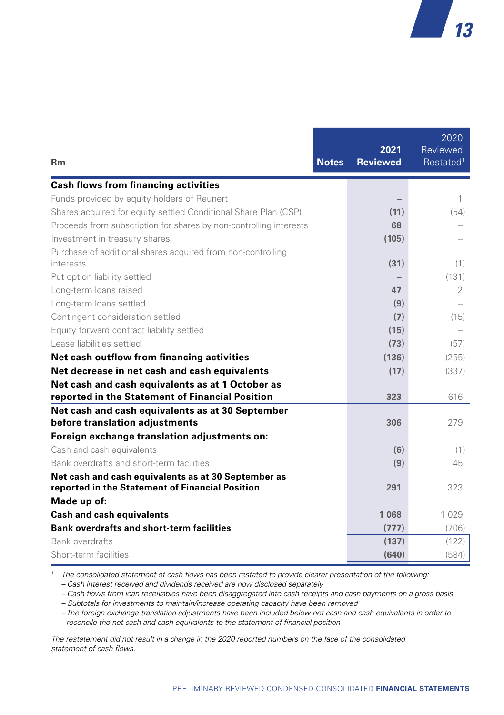| <b>Rm</b>                                                                                              | <b>Notes</b> | 2021<br><b>Reviewed</b> | 2020<br>Reviewed<br>Restated <sup>1</sup> |
|--------------------------------------------------------------------------------------------------------|--------------|-------------------------|-------------------------------------------|
| <b>Cash flows from financing activities</b>                                                            |              |                         |                                           |
| Funds provided by equity holders of Reunert                                                            |              |                         | 1                                         |
| Shares acquired for equity settled Conditional Share Plan (CSP)                                        |              | (11)                    | (54)                                      |
| Proceeds from subscription for shares by non-controlling interests                                     |              | 68                      |                                           |
| Investment in treasury shares                                                                          |              | (105)                   |                                           |
| Purchase of additional shares acquired from non-controlling<br>interests                               |              | (31)                    | (1)                                       |
| Put option liability settled                                                                           |              |                         | (131)                                     |
| Long-term loans raised                                                                                 |              | 47                      | 2                                         |
| Long-term loans settled                                                                                |              | (9)                     |                                           |
| Contingent consideration settled                                                                       |              | (7)                     | (15)                                      |
| Equity forward contract liability settled                                                              |              | (15)                    |                                           |
| Lease liabilities settled                                                                              |              | (73)                    | (57)                                      |
| Net cash outflow from financing activities                                                             |              | (136)                   | (255)                                     |
| Net decrease in net cash and cash equivalents                                                          |              | (17)                    | (337)                                     |
| Net cash and cash equivalents as at 1 October as<br>reported in the Statement of Financial Position    |              | 323                     | 616                                       |
| Net cash and cash equivalents as at 30 September<br>before translation adjustments                     |              | 306                     | 279                                       |
| Foreign exchange translation adjustments on:                                                           |              |                         |                                           |
| Cash and cash equivalents                                                                              |              | (6)                     | (1)                                       |
| Bank overdrafts and short-term facilities                                                              |              | (9)                     | 45                                        |
| Net cash and cash equivalents as at 30 September as<br>reported in the Statement of Financial Position |              | 291                     | 323                                       |
| Made up of:                                                                                            |              |                         |                                           |
| <b>Cash and cash equivalents</b>                                                                       |              | 1 0 6 8                 | 1 0 2 9                                   |
| <b>Bank overdrafts and short-term facilities</b>                                                       |              | (777)                   | (706)                                     |
| <b>Bank overdrafts</b>                                                                                 |              | (137)                   | (122)                                     |
| Short-term facilities                                                                                  |              | (640)                   | (584)                                     |

*<sup>1</sup> The consolidated statement of cash flows has been restated to provide clearer presentation of the following:*

*– Cash interest received and dividends received are now disclosed separately*

*– Cash flows from loan receivables have been disaggregated into cash receipts and cash payments on a gross basis*

*– Subtotals for investments to maintain/increase operating capacity have been removed*

*– The foreign exchange translation adjustments have been included below net cash and cash equivalents in order to reconcile the net cash and cash equivalents to the statement of financial position* 

*The restatement did not result in a change in the 2020 reported numbers on the face of the consolidated statement of cash flows.*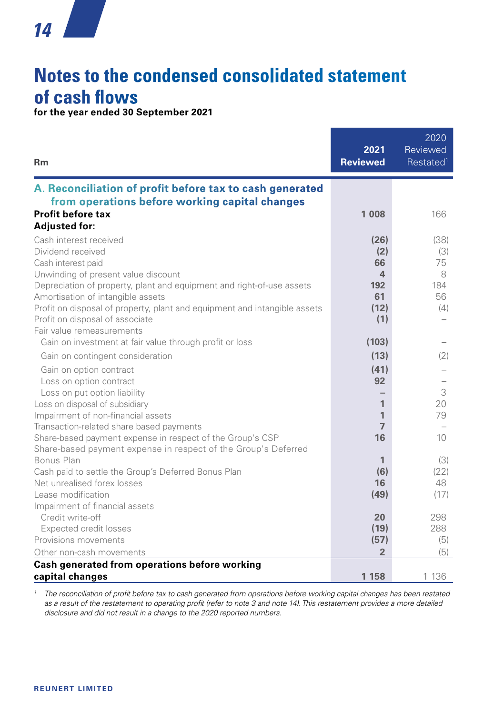# **Notes to the condensed consolidated statement of cash flows**

**for the year ended 30 September 2021**

| <b>Rm</b>                                                                                                                                                                                                                                                                                                                                                                                                                            | 2021<br><b>Reviewed</b>                                       | 2020<br>Reviewed<br>Restated <sup>1</sup>      |
|--------------------------------------------------------------------------------------------------------------------------------------------------------------------------------------------------------------------------------------------------------------------------------------------------------------------------------------------------------------------------------------------------------------------------------------|---------------------------------------------------------------|------------------------------------------------|
| A. Reconciliation of profit before tax to cash generated                                                                                                                                                                                                                                                                                                                                                                             |                                                               |                                                |
| from operations before working capital changes<br><b>Profit before tax</b><br><b>Adjusted for:</b>                                                                                                                                                                                                                                                                                                                                   | 1 0 0 8                                                       | 166                                            |
| Cash interest received<br>Dividend received<br>Cash interest paid<br>Unwinding of present value discount<br>Depreciation of property, plant and equipment and right-of-use assets<br>Amortisation of intangible assets<br>Profit on disposal of property, plant and equipment and intangible assets<br>Profit on disposal of associate<br>Fair value remeasurements                                                                  | (26)<br>(2)<br>66<br>4<br>192<br>61<br>(12)<br>(1)            | (38)<br>(3)<br>75<br>8<br>184<br>56<br>(4)     |
| Gain on investment at fair value through profit or loss<br>Gain on contingent consideration<br>Gain on option contract<br>Loss on option contract<br>Loss on put option liability<br>Loss on disposal of subsidiary<br>Impairment of non-financial assets<br>Transaction-related share based payments<br>Share-based payment expense in respect of the Group's CSP<br>Share-based payment expense in respect of the Group's Deferred | (103)<br>(13)<br>(41)<br>92<br>1<br>1<br>$\overline{7}$<br>16 | (2)<br>3<br>20<br>79<br>10                     |
| Bonus Plan<br>Cash paid to settle the Group's Deferred Bonus Plan<br>Net unrealised forex losses<br>Lease modification<br>Impairment of financial assets<br>Credit write-off<br>Expected credit losses<br>Provisions movements                                                                                                                                                                                                       | 1<br>(6)<br>16<br>(49)<br>20<br>(19)<br>(57)                  | (3)<br>(22)<br>48<br>(17)<br>298<br>288<br>(5) |
| Other non-cash movements<br>Cash generated from operations before working<br>capital changes                                                                                                                                                                                                                                                                                                                                         | $\overline{2}$<br>1 1 5 8                                     | (5)<br>1 1 3 6                                 |

*<sup>1</sup> The reconciliation of profit before tax to cash generated from operations before working capital changes has been restated as a result of the restatement to operating profit (refer to note 3 and note 14). This restatement provides a more detailed disclosure and did not result in a change to the 2020 reported numbers.*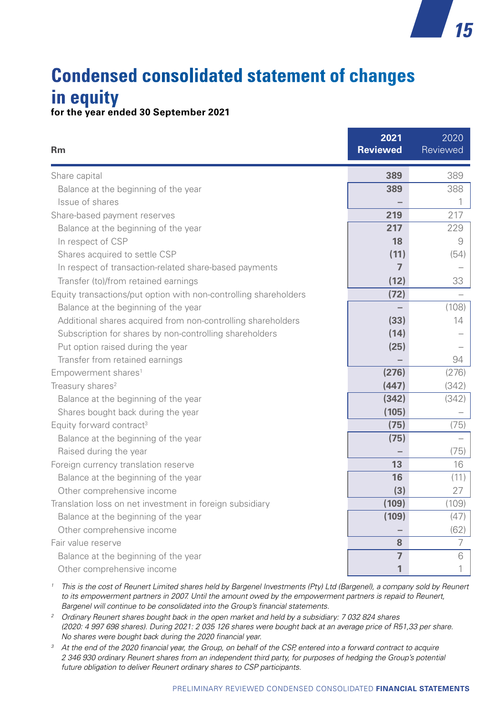## **Condensed consolidated statement of changes in equity for the year ended 30 September 2021**

*15*

| <b>Rm</b>                                                        | 2021<br><b>Reviewed</b> | 2020<br>Reviewed |
|------------------------------------------------------------------|-------------------------|------------------|
| Share capital                                                    | 389                     | 389              |
| Balance at the beginning of the year                             | 389                     | 388              |
| Issue of shares                                                  |                         | 1                |
| Share-based payment reserves                                     | 219                     | 217              |
| Balance at the beginning of the year                             | 217                     | 229              |
| In respect of CSP                                                | 18                      | 9                |
| Shares acquired to settle CSP                                    | (11)                    | (54)             |
| In respect of transaction-related share-based payments           | $\overline{7}$          |                  |
| Transfer (to)/from retained earnings                             | (12)                    | 33               |
| Equity transactions/put option with non-controlling shareholders | (72)                    |                  |
| Balance at the beginning of the year                             |                         | (108)            |
| Additional shares acquired from non-controlling shareholders     | (33)                    | 14               |
| Subscription for shares by non-controlling shareholders          | (14)                    |                  |
| Put option raised during the year                                | (25)                    |                  |
| Transfer from retained earnings                                  |                         | 94               |
| Empowerment shares <sup>1</sup>                                  | (276)                   | (276)            |
| Treasury shares <sup>2</sup>                                     | (447)                   | (342)            |
| Balance at the beginning of the year                             | (342)                   | (342)            |
| Shares bought back during the year                               | (105)                   |                  |
| Equity forward contract <sup>3</sup>                             | (75)                    | (75)             |
| Balance at the beginning of the year                             | (75)                    |                  |
| Raised during the year                                           |                         | (75)             |
| Foreign currency translation reserve                             | 13                      | 16               |
| Balance at the beginning of the year                             | 16                      | (11)             |
| Other comprehensive income                                       | (3)                     | 27               |
| Translation loss on net investment in foreign subsidiary         | (109)                   | (109)            |
| Balance at the beginning of the year                             | (109)                   | (47)             |
| Other comprehensive income                                       |                         | (62)             |
| Fair value reserve                                               | 8                       | 7                |
| Balance at the beginning of the year                             | $\overline{7}$          | 6                |
| Other comprehensive income                                       | 1                       | 1                |

<sup>1</sup> This is the cost of Reunert Limited shares held by Bargenel Investments (Pty) Ltd (Bargenel), a company sold by Reunert to its empowerment partners in 2007. Until the amount owed by the empowerment partners is repaid to Reunert, *Bargenel will continue to be consolidated into the Group's financial statements.*

*<sup>2</sup> Ordinary Reunert shares bought back in the open market and held by a subsidiary: 7 032 824 shares (2020: 4 997 698 shares). During 2021: 2 035 126 shares were bought back at an average price of R51,33 per share. No shares were bought back during the 2020 financial year.*

<sup>3</sup> At the end of the 2020 financial year, the Group, on behalf of the CSP, entered into a forward contract to acquire *2 346 930 ordinary Reunert shares from an independent third party, for purposes of hedging the Group's potential future obligation to deliver Reunert ordinary shares to CSP participants.*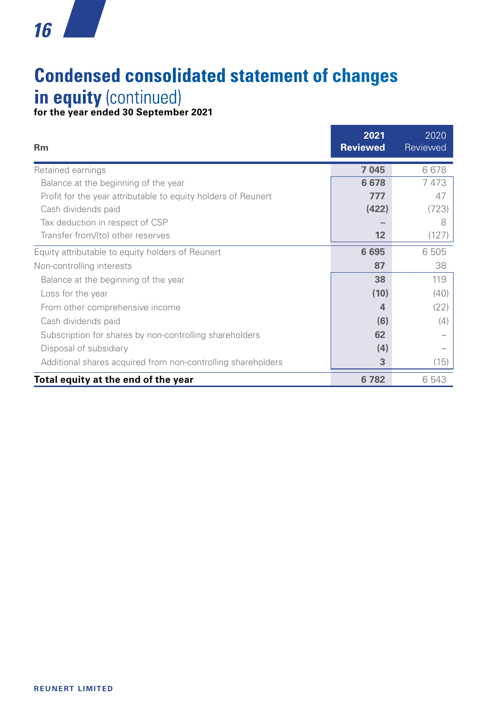# **Condensed consolidated statement of changes in equity** (continued)

**for the year ended 30 September 2021** 

| <b>Rm</b>                                                     | 2021<br><b>Reviewed</b> | 2020<br>Reviewed |
|---------------------------------------------------------------|-------------------------|------------------|
| Retained earnings                                             | 7 0 4 5                 | 6678             |
| Balance at the beginning of the year                          | 6678                    | 7473             |
| Profit for the year attributable to equity holders of Reunert | 777                     | 47               |
| Cash dividends paid                                           | (422)                   | (723)            |
| Tax deduction in respect of CSP                               |                         | 8                |
| Transfer from/(to) other reserves                             | 12                      | (127)            |
| Equity attributable to equity holders of Reunert              | 6695                    | 6505             |
| Non-controlling interests                                     | 87                      | 38               |
| Balance at the beginning of the year                          | 38                      | 119              |
| Loss for the year                                             | (10)                    | (40)             |
| From other comprehensive income                               | 4                       | (22)             |
| Cash dividends paid                                           | (6)                     | (4)              |
| Subscription for shares by non-controlling shareholders       | 62                      |                  |
| Disposal of subsidiary                                        | (4)                     |                  |
| Additional shares acquired from non-controlling shareholders  | 3                       | (15)             |
| Total equity at the end of the year                           | 6782                    | 6 543            |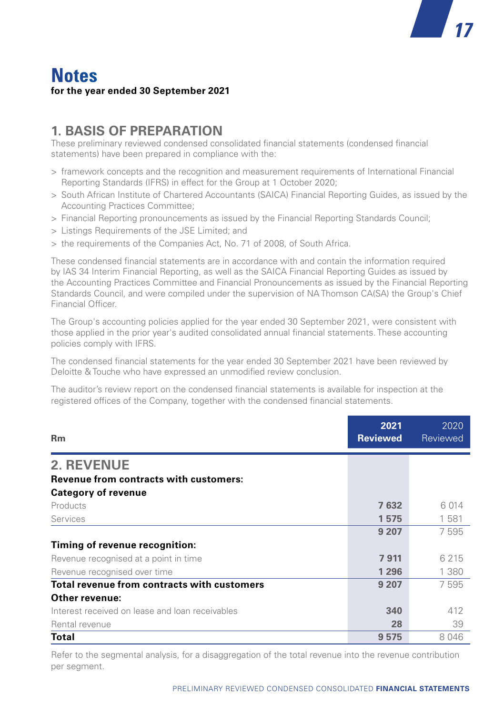## **Notes for the year ended 30 September 2021**

### **1. BASIS OF PREPARATION**

These preliminary reviewed condensed consolidated financial statements (condensed financial statements) have been prepared in compliance with the:

- > framework concepts and the recognition and measurement requirements of International Financial Reporting Standards (IFRS) in effect for the Group at 1 October 2020;
- > South African Institute of Chartered Accountants (SAICA) Financial Reporting Guides, as issued by the Accounting Practices Committee;

*17*

- > Financial Reporting pronouncements as issued by the Financial Reporting Standards Council;
- > Listings Requirements of the JSE Limited; and
- > the requirements of the Companies Act, No. 71 of 2008, of South Africa.

These condensed financial statements are in accordance with and contain the information required by IAS 34 Interim Financial Reporting, as well as the SAICA Financial Reporting Guides as issued by the Accounting Practices Committee and Financial Pronouncements as issued by the Financial Reporting Standards Council, and were compiled under the supervision of NA Thomson CA(SA) the Group's Chief Financial Officer.

The Group's accounting policies applied for the year ended 30 September 2021, were consistent with those applied in the prior year's audited consolidated annual financial statements. These accounting policies comply with IFRS.

The condensed financial statements for the year ended 30 September 2021 have been reviewed by Deloitte & Touche who have expressed an unmodified review conclusion.

The auditor's review report on the condensed financial statements is available for inspection at the registered offices of the Company, together with the condensed financial statements.

| <b>Rm</b>                                                                   | 2021<br><b>Reviewed</b> | 2020<br>Reviewed |
|-----------------------------------------------------------------------------|-------------------------|------------------|
| <b>2. REVENUE</b>                                                           |                         |                  |
| <b>Revenue from contracts with customers:</b><br><b>Category of revenue</b> |                         |                  |
| Products                                                                    | 7632                    | 6 0 1 4          |
| Services                                                                    | 1575                    | 1581             |
|                                                                             | 9 2 0 7                 | 7595             |
| Timing of revenue recognition:                                              |                         |                  |
| Revenue recognised at a point in time                                       | 7911                    | 6 2 1 5          |
| Revenue recognised over time                                                | 1 2 9 6                 | 1 3 8 0          |
| Total revenue from contracts with customers                                 | 9 207                   | 7595             |
| Other revenue:                                                              |                         |                  |
| Interest received on lease and loan receivables                             | 340                     | 412              |
| Rental revenue                                                              | 28                      | 39               |
| Total                                                                       | 9575                    | 8046             |

Refer to the segmental analysis, for a disaggregation of the total revenue into the revenue contribution per segment.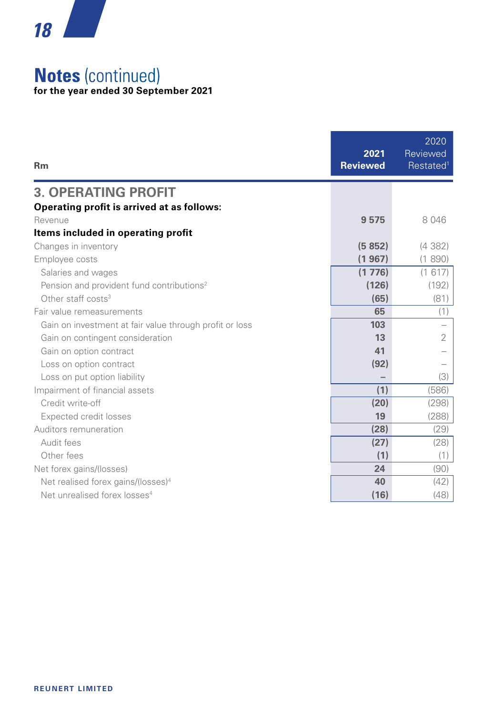

## **Notes** (continued)

**for the year ended 30 September 2021**

| Rm                                                      | 2021<br><b>Reviewed</b> | 2020<br>Reviewed<br>Restated <sup>1</sup> |
|---------------------------------------------------------|-------------------------|-------------------------------------------|
| <b>3. OPERATING PROFIT</b>                              |                         |                                           |
| Operating profit is arrived at as follows:              |                         |                                           |
| Revenue                                                 | 9575                    | 8046                                      |
| Items included in operating profit                      |                         |                                           |
| Changes in inventory                                    | (5852)                  | (4382)                                    |
| Employee costs                                          | (1967)                  | (1890)                                    |
| Salaries and wages                                      | (1776)                  | (1617)                                    |
| Pension and provident fund contributions <sup>2</sup>   | (126)                   | (192)                                     |
| Other staff costs <sup>3</sup>                          | (65)                    | (81)                                      |
| Fair value remeasurements                               | 65                      | (1)                                       |
| Gain on investment at fair value through profit or loss | 103                     |                                           |
| Gain on contingent consideration                        | 13                      | 2                                         |
| Gain on option contract                                 | 41                      |                                           |
| Loss on option contract                                 | (92)                    |                                           |
| Loss on put option liability                            |                         | (3)                                       |
| Impairment of financial assets                          | (1)                     | (586)                                     |
| Credit write-off                                        | (20)                    | (298)                                     |
| Expected credit losses                                  | 19                      | (288)                                     |
| Auditors remuneration                                   | (28)                    | (29)                                      |
| Audit fees                                              | (27)                    | (28)                                      |
| Other fees                                              | (1)                     | (1)                                       |
| Net forex gains/(losses)                                | 24                      | (90)                                      |
| Net realised forex gains/(losses) <sup>4</sup>          | 40                      | (42)                                      |
| Net unrealised forex losses <sup>4</sup>                | (16)                    | (48)                                      |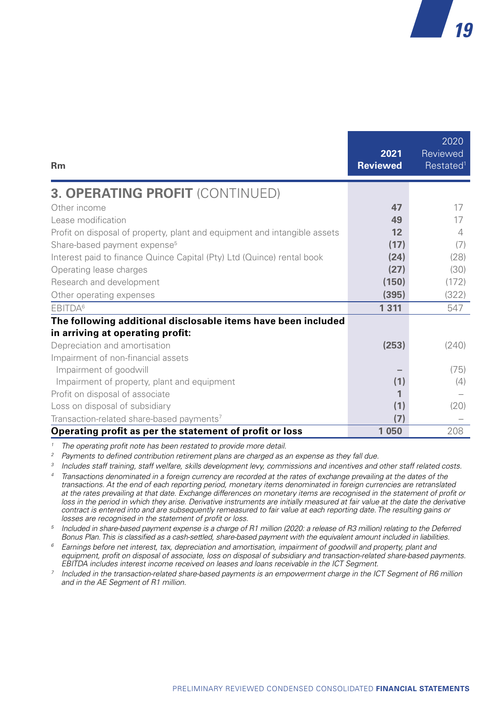| <b>Rm</b>                                                                 | 2021<br><b>Reviewed</b> | 2020<br><b>Reviewed</b><br>Restated <sup>1</sup> |
|---------------------------------------------------------------------------|-------------------------|--------------------------------------------------|
| <b>3. OPERATING PROFIT (CONTINUED)</b>                                    |                         |                                                  |
| Other income                                                              | 47                      | 17                                               |
| Lease modification                                                        | 49                      | 17                                               |
| Profit on disposal of property, plant and equipment and intangible assets | 12                      | 4                                                |
| Share-based payment expense <sup>5</sup>                                  | (17)                    | (7)                                              |
| Interest paid to finance Quince Capital (Pty) Ltd (Quince) rental book    | (24)                    | (28)                                             |
| Operating lease charges                                                   | (27)                    | (30)                                             |
| Research and development                                                  | (150)                   | (172)                                            |
| Other operating expenses                                                  | (395)                   | (322)                                            |
| EBITDA <sup>6</sup>                                                       | 1 3 1 1                 | 547                                              |
| The following additional disclosable items have been included             |                         |                                                  |
| in arriving at operating profit:                                          |                         |                                                  |
| Depreciation and amortisation                                             | (253)                   | (240)                                            |
| Impairment of non-financial assets                                        |                         |                                                  |
| Impairment of goodwill                                                    |                         | (75)                                             |
| Impairment of property, plant and equipment                               | (1)                     | (4)                                              |
| Profit on disposal of associate                                           | 1                       |                                                  |
| Loss on disposal of subsidiary                                            | (1)                     | (20)                                             |
| Transaction-related share-based payments7                                 | (7)                     |                                                  |
| Operating profit as per the statement of profit or loss                   | 1 0 5 0                 | 208                                              |

*<sup>1</sup> The operating profit note has been restated to provide more detail.*

 $\frac{2}{3}$  Payments to defined contribution retirement plans are charged as an expense as they fall due.<br><sup>3</sup> Includes staff training, staff welfare, skills development levy, commissions and incentives and other staff relat

- *<sup>4</sup> Transactions denominated in a foreign currency are recorded at the rates of exchange prevailing at the dates of the transactions. At the end of each reporting period, monetary items denominated in foreign currencies are retranslated at the rates prevailing at that date. Exchange differences on monetary items are recognised in the statement of profit or*  loss in the period in which they arise. Derivative instruments are initially measured at fair value at the date the derivative *contract is entered into and are subsequently remeasured to fair value at each reporting date. The resulting gains or losses are recognised in the statement of profit or loss.*
- *<sup>5</sup> Included in share-based payment expense is a charge of R1 million (2020: a release of R3 million) relating to the Deferred Bonus Plan. This is classified as a cash-settled, share-based payment with the equivalent amount included in liabilities.*
- *<sup>6</sup> Earnings before net interest, tax, depreciation and amortisation, impairment of goodwill and property, plant and equipment, profit on disposal of associate, loss on disposal of subsidiary and transaction-related share-based payments. EBITDA includes interest income received on leases and loans receivable in the ICT Segment.*
- *<sup>7</sup> Included in the transaction-related share-based payments is an empowerment charge in the ICT Segment of R6 million and in the AE Segment of R1 million.*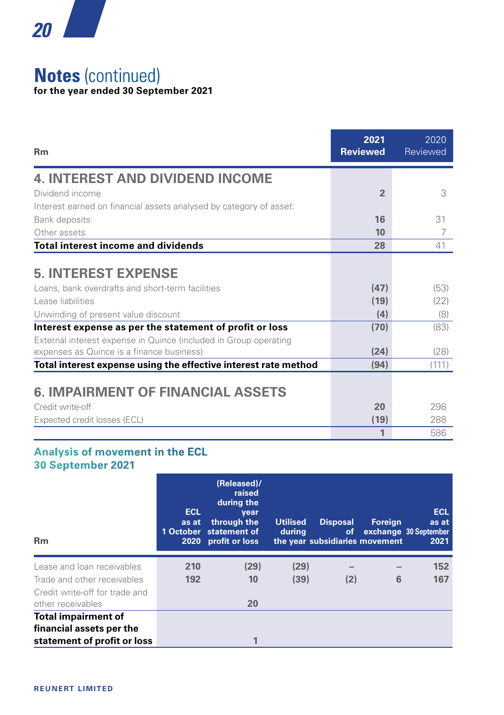

## **Notes** (continued) **for the year ended 30 September 2021**

| Rm                                                                                                                                                                                                                                                                                                                     | 2021<br><b>Reviewed</b>             | 2020<br>Reviewed                    |
|------------------------------------------------------------------------------------------------------------------------------------------------------------------------------------------------------------------------------------------------------------------------------------------------------------------------|-------------------------------------|-------------------------------------|
| <b>4. INTEREST AND DIVIDEND INCOME</b>                                                                                                                                                                                                                                                                                 |                                     |                                     |
| Dividend income                                                                                                                                                                                                                                                                                                        | $\overline{2}$                      | 3                                   |
| Interest earned on financial assets analysed by category of asset:                                                                                                                                                                                                                                                     |                                     |                                     |
| Bank deposits                                                                                                                                                                                                                                                                                                          | 16                                  | 31                                  |
| Other assets                                                                                                                                                                                                                                                                                                           | 10                                  |                                     |
| <b>Total interest income and dividends</b>                                                                                                                                                                                                                                                                             | 28                                  | 41                                  |
| <b>5. INTEREST EXPENSE</b><br>Loans, bank overdrafts and short-term facilities<br>Lease liabilities<br>Unwinding of present value discount<br>Interest expense as per the statement of profit or loss<br>External interest expense in Quince (included in Group operating<br>expenses as Quince is a finance business) | (47)<br>(19)<br>(4)<br>(70)<br>(24) | (53)<br>(22)<br>(8)<br>(83)<br>(28) |
| Total interest expense using the effective interest rate method                                                                                                                                                                                                                                                        | (94)                                | (111)                               |
| <b>6. IMPAIRMENT OF FINANCIAL ASSETS</b><br>Credit write-off<br>Expected credit losses (ECL)                                                                                                                                                                                                                           | 20<br>(19)                          | 298<br>288                          |
|                                                                                                                                                                                                                                                                                                                        | 1                                   | 586                                 |

#### **Analysis of movement in the ECL 30 September 2021**

| <b>Rm</b>                      | <b>ECL</b><br>as at<br>1 October | (Released)/<br>raised<br>during the<br>year<br>through the<br>statement of<br>2020 profit or loss | <b>Utilised</b><br>during | <b>Disposal</b><br><b>of</b><br>the year subsidiaries movement | Foreign | <b>ECL</b><br>as at<br>exchange 30 September<br>2021 |
|--------------------------------|----------------------------------|---------------------------------------------------------------------------------------------------|---------------------------|----------------------------------------------------------------|---------|------------------------------------------------------|
| Lease and loan receivables     | 210                              | (29)                                                                                              | (29)                      |                                                                |         | 152                                                  |
| Trade and other receivables    | 192                              | 10                                                                                                | (39)                      | (2)                                                            | 6       | 167                                                  |
| Credit write-off for trade and |                                  |                                                                                                   |                           |                                                                |         |                                                      |
| other receivables              |                                  | 20                                                                                                |                           |                                                                |         |                                                      |
| <b>Total impairment of</b>     |                                  |                                                                                                   |                           |                                                                |         |                                                      |
| financial assets per the       |                                  |                                                                                                   |                           |                                                                |         |                                                      |
| statement of profit or loss    |                                  | 1                                                                                                 |                           |                                                                |         |                                                      |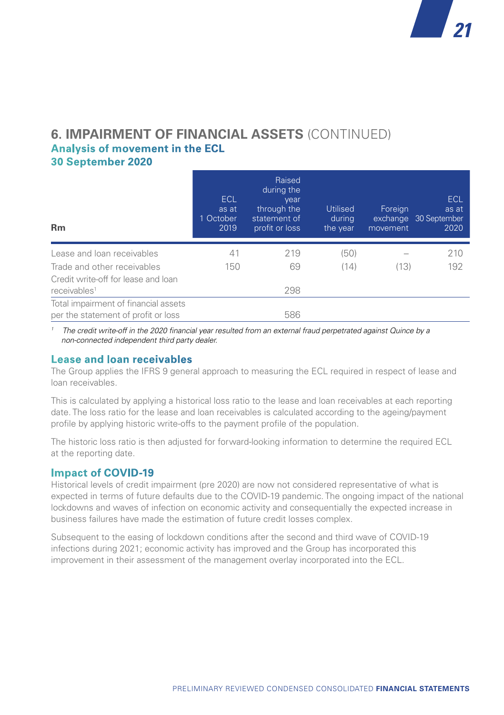#### **6. IMPAIRMENT OF FINANCIAL ASSETS** (CONTINUED) **Analysis of movement in the ECL 30 September 2020**

| <b>Rm</b>                                                                   | <b>ECL</b><br>as at<br>1 October<br>2019 | Raised<br>during the<br>vear<br>through the<br>statement of<br>profit or loss | <b>Utilised</b><br>durina<br>the year | Foreign<br>movement | <b>ECL</b><br>as at<br>exchange 30 September<br>2020 |
|-----------------------------------------------------------------------------|------------------------------------------|-------------------------------------------------------------------------------|---------------------------------------|---------------------|------------------------------------------------------|
| Lease and loan receivables                                                  | 41                                       | 219                                                                           | (50)                                  |                     | 210                                                  |
| Trade and other receivables                                                 | 150                                      | 69                                                                            | (14)                                  | (13)                | 192                                                  |
| Credit write-off for lease and loan<br>receivables <sup>1</sup>             |                                          | 298                                                                           |                                       |                     |                                                      |
| Total impairment of financial assets<br>per the statement of profit or loss |                                          | 586                                                                           |                                       |                     |                                                      |

*1 The credit write-off in the 2020 financial year resulted from an external fraud perpetrated against Quince by a non-connected independent third party dealer.*

#### **Lease and loan receivables**

The Group applies the IFRS 9 general approach to measuring the ECL required in respect of lease and loan receivables.

This is calculated by applying a historical loss ratio to the lease and loan receivables at each reporting date. The loss ratio for the lease and loan receivables is calculated according to the ageing/payment profile by applying historic write-offs to the payment profile of the population.

The historic loss ratio is then adjusted for forward-looking information to determine the required ECL at the reporting date.

#### **Impact of COVID-19**

Historical levels of credit impairment (pre 2020) are now not considered representative of what is expected in terms of future defaults due to the COVID-19 pandemic. The ongoing impact of the national lockdowns and waves of infection on economic activity and consequentially the expected increase in business failures have made the estimation of future credit losses complex.

Subsequent to the easing of lockdown conditions after the second and third wave of COVID-19 infections during 2021; economic activity has improved and the Group has incorporated this improvement in their assessment of the management overlay incorporated into the ECL.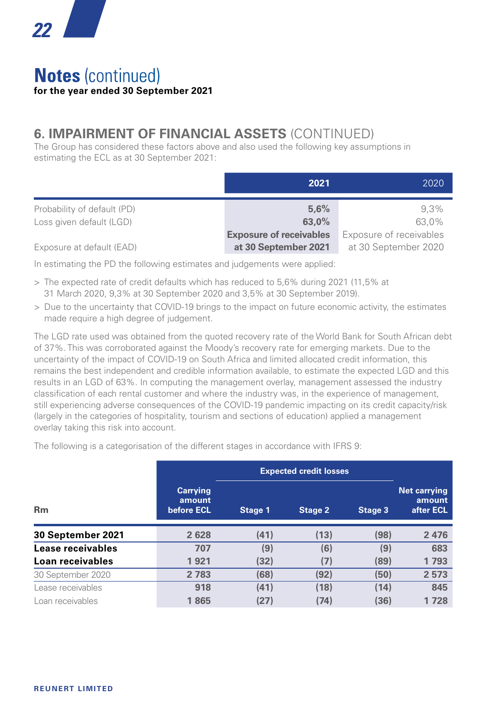

## **Notes** (continued) **for the year ended 30 September 2021**

## **6. IMPAIRMENT OF FINANCIAL ASSETS** (CONTINUED)

The Group has considered these factors above and also used the following key assumptions in estimating the ECL as at 30 September 2021:

|                                                         | 2021                                                   | 2020                                            |
|---------------------------------------------------------|--------------------------------------------------------|-------------------------------------------------|
| Probability of default (PD)<br>Loss given default (LGD) | 5.6%<br>63.0%                                          | $9.3\%$<br>63.0%                                |
| Exposure at default (EAD)                               | <b>Exposure of receivables</b><br>at 30 September 2021 | Exposure of receivables<br>at 30 September 2020 |

In estimating the PD the following estimates and judgements were applied:

- > The expected rate of credit defaults which has reduced to 5,6% during 2021 (11,5% at 31 March 2020, 9,3% at 30 September 2020 and 3,5% at 30 September 2019).
- > Due to the uncertainty that COVID-19 brings to the impact on future economic activity, the estimates made require a high degree of judgement.

The LGD rate used was obtained from the quoted recovery rate of the World Bank for South African debt of 37%. This was corroborated against the Moody's recovery rate for emerging markets. Due to the uncertainty of the impact of COVID-19 on South Africa and limited allocated credit information, this remains the best independent and credible information available, to estimate the expected LGD and this results in an LGD of 63%. In computing the management overlay, management assessed the industry classification of each rental customer and where the industry was, in the experience of management, still experiencing adverse consequences of the COVID-19 pandemic impacting on its credit capacity/risk (largely in the categories of hospitality, tourism and sections of education) applied a management overlay taking this risk into account.

The following is a categorisation of the different stages in accordance with IFRS 9:

|                   |                                         | <b>Expected credit losses</b> |         |         |                                            |
|-------------------|-----------------------------------------|-------------------------------|---------|---------|--------------------------------------------|
| <b>Rm</b>         | <b>Carrying</b><br>amount<br>before ECL | Stage 1                       | Stage 2 | Stage 3 | <b>Net carrying</b><br>amount<br>after ECL |
| 30 September 2021 | 2628                                    | (41)                          | (13)    | (98)    | 2476                                       |
| Lease receivables | 707                                     | (9)                           | (6)     | (9)     | 683                                        |
| Loan receivables  | 1921                                    | (32)                          | (7)     | (89)    | 1793                                       |
| 30 September 2020 | 2 7 8 3                                 | (68)                          | (92)    | (50)    | 2 5 7 3                                    |
| Lease receivables | 918                                     | (41)                          | (18)    | (14)    | 845                                        |
| Loan receivables  | 1865                                    | (27)                          | (74)    | (36)    | 1728                                       |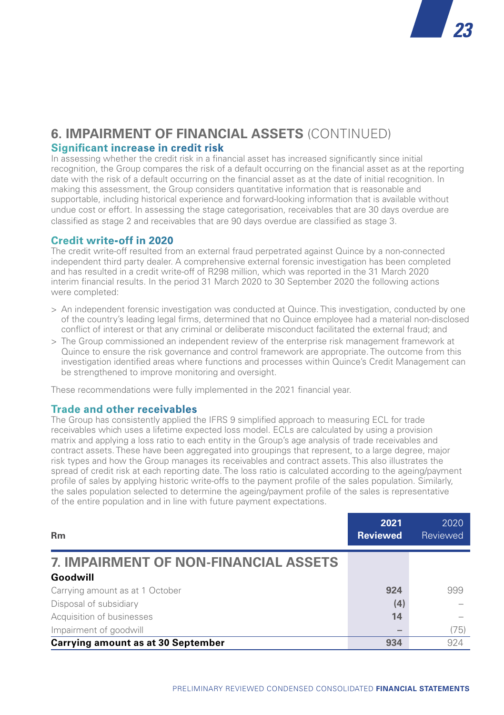

#### **6. IMPAIRMENT OF FINANCIAL ASSETS** (CONTINUED) **Significant increase in credit risk**

In assessing whether the credit risk in a financial asset has increased significantly since initial recognition, the Group compares the risk of a default occurring on the financial asset as at the reporting date with the risk of a default occurring on the financial asset as at the date of initial recognition. In making this assessment, the Group considers quantitative information that is reasonable and supportable, including historical experience and forward-looking information that is available without undue cost or effort. In assessing the stage categorisation, receivables that are 30 days overdue are classified as stage 2 and receivables that are 90 days overdue are classified as stage 3.

#### **Credit write-off in 2020**

The credit write-off resulted from an external fraud perpetrated against Quince by a non-connected independent third party dealer. A comprehensive external forensic investigation has been completed and has resulted in a credit write-off of R298 million, which was reported in the 31 March 2020 interim financial results. In the period 31 March 2020 to 30 September 2020 the following actions were completed:

- > An independent forensic investigation was conducted at Quince. This investigation, conducted by one of the country's leading legal firms, determined that no Quince employee had a material non-disclosed conflict of interest or that any criminal or deliberate misconduct facilitated the external fraud; and
- > The Group commissioned an independent review of the enterprise risk management framework at Quince to ensure the risk governance and control framework are appropriate. The outcome from this investigation identified areas where functions and processes within Quince's Credit Management can be strengthened to improve monitoring and oversight.

These recommendations were fully implemented in the 2021 financial year.

#### **Trade and other receivables**

The Group has consistently applied the IFRS 9 simplified approach to measuring ECL for trade receivables which uses a lifetime expected loss model. ECLs are calculated by using a provision matrix and applying a loss ratio to each entity in the Group's age analysis of trade receivables and contract assets. These have been aggregated into groupings that represent, to a large degree, major risk types and how the Group manages its receivables and contract assets. This also illustrates the spread of credit risk at each reporting date. The loss ratio is calculated according to the ageing/payment profile of sales by applying historic write-offs to the payment profile of the sales population. Similarly, the sales population selected to determine the ageing/payment profile of the sales is representative of the entire population and in line with future payment expectations.

| <b>Rm</b>                                    | 2021<br><b>Reviewed</b> | 2020<br>Reviewed |
|----------------------------------------------|-------------------------|------------------|
| <b>7. IMPAIRMENT OF NON-FINANCIAL ASSETS</b> |                         |                  |
| Goodwill                                     |                         |                  |
| Carrying amount as at 1 October              | 924                     | 999              |
| Disposal of subsidiary                       | (4)                     |                  |
| Acquisition of businesses                    | 14                      |                  |
| Impairment of goodwill                       |                         | (75)             |
| <b>Carrying amount as at 30 September</b>    | 934                     | 924              |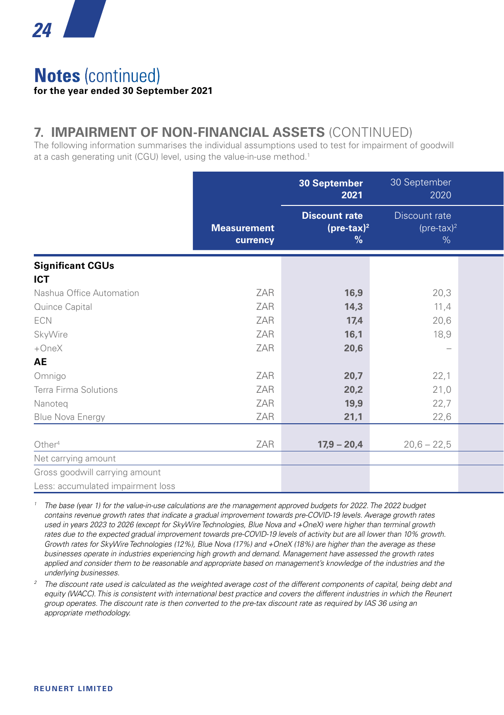

## **Notes** (continued) **for the year ended 30 September 2021**

## **7. IMPAIRMENT OF NON-FINANCIAL ASSETS** (CONTINUED)

The following information summarises the individual assumptions used to test for impairment of goodwill at a cash generating unit (CGU) level, using the value-in-use method.<sup>1</sup>

|                                   |                                | 30 September<br>2021                                 | 30 September<br>2020                |  |
|-----------------------------------|--------------------------------|------------------------------------------------------|-------------------------------------|--|
|                                   | <b>Measurement</b><br>currency | <b>Discount rate</b><br>$(\text{pre-tax})^2$<br>$\%$ | Discount rate<br>$(pre-tax)^2$<br>% |  |
| <b>Significant CGUs</b>           |                                |                                                      |                                     |  |
| <b>ICT</b>                        |                                |                                                      |                                     |  |
| Nashua Office Automation          | ZAR                            | 16,9                                                 | 20,3                                |  |
| Quince Capital                    | ZAR                            | 14,3                                                 | 11,4                                |  |
| ECN                               | ZAR                            | 17,4                                                 | 20,6                                |  |
| SkyWire                           | ZAR                            | 16,1                                                 | 18,9                                |  |
| $+OneX$                           | ZAR                            | 20,6                                                 | $\overline{\phantom{0}}$            |  |
| AE                                |                                |                                                      |                                     |  |
| Omnigo                            | ZAR                            | 20,7                                                 | 22,1                                |  |
| Terra Firma Solutions             | ZAR                            | 20,2                                                 | 21,0                                |  |
| Nanoteq                           | ZAR                            | 19,9                                                 | 22,7                                |  |
| Blue Nova Energy                  | ZAR                            | 21,1                                                 | 22,6                                |  |
|                                   |                                |                                                      |                                     |  |
| Other <sup>4</sup>                | ZAR                            | $17,9 - 20,4$                                        | $20,6 - 22,5$                       |  |
| Net carrying amount               |                                |                                                      |                                     |  |
| Gross goodwill carrying amount    |                                |                                                      |                                     |  |
| Less: accumulated impairment loss |                                |                                                      |                                     |  |

*<sup>1</sup> The base (year 1) for the value-in-use calculations are the management approved budgets for 2022. The 2022 budget contains revenue growth rates that indicate a gradual improvement towards pre-COVID-19 levels. Average growth rates used in years 2023 to 2026 (except for SkyWire Technologies, Blue Nova and +OneX) were higher than terminal growth*  rates due to the expected gradual improvement towards pre-COVID-19 levels of activity but are all lower than 10% growth. *Growth rates for SkyWire Technologies (12%), Blue Nova (17%) and +OneX (18%) are higher than the average as these businesses operate in industries experiencing high growth and demand. Management have assessed the growth rates applied and consider them to be reasonable and appropriate based on management's knowledge of the industries and the underlying businesses.*

*<sup>2</sup> The discount rate used is calculated as the weighted average cost of the different components of capital, being debt and*  equity (WACC). This is consistent with international best practice and covers the different industries in which the Reunert *group operates. The discount rate is then converted to the pre-tax discount rate as required by IAS 36 using an appropriate methodology.*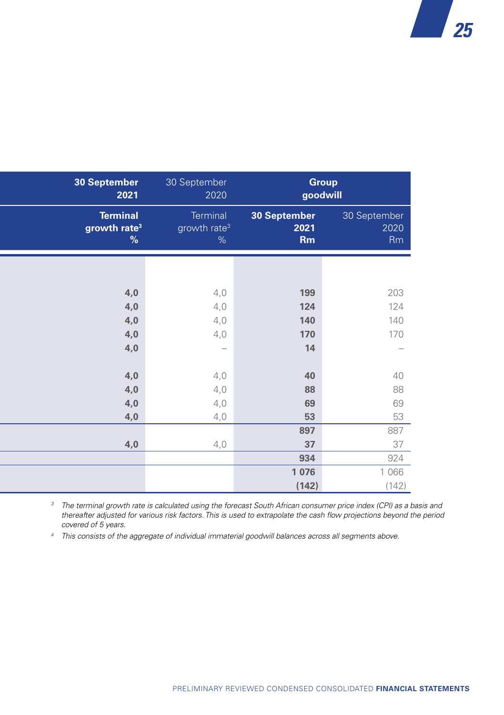| 30 September<br>2021                                | 30 September<br>2020                         |                                   | <b>Group</b><br>goodwill   |
|-----------------------------------------------------|----------------------------------------------|-----------------------------------|----------------------------|
| <b>Terminal</b><br>growth rate <sup>3</sup><br>$\%$ | Terminal<br>growth rate <sup>3</sup><br>$\%$ | 30 September<br>2021<br><b>Rm</b> | 30 September<br>2020<br>Rm |
|                                                     |                                              |                                   |                            |
| 4,0                                                 | 4,0                                          | 199                               | 203                        |
| 4,0<br>4,0                                          | 4,0<br>4,0                                   | 124<br>140                        | 124<br>140                 |
| 4,0                                                 | 4,0                                          | 170                               | 170                        |
| 4,0                                                 | $\overline{\phantom{0}}$                     | 14                                | $\overline{\phantom{0}}$   |
| 4,0                                                 | 4,0                                          | 40                                | 40                         |
| 4,0                                                 | 4,0<br>4,0                                   | 88<br>69                          | 88<br>69                   |
| 4,0<br>4,0                                          | 4,0                                          | 53                                | 53                         |
|                                                     |                                              | 897                               | 887                        |
| 4,0                                                 | 4,0                                          | 37                                | 37                         |
|                                                     |                                              | 934                               | 924                        |
|                                                     |                                              | 1 0 7 6                           | 1 0 6 6                    |
|                                                     |                                              | (142)                             | (142)                      |

*<sup>3</sup> The terminal growth rate is calculated using the forecast South African consumer price index (CPI) as a basis and thereafter adjusted for various risk factors. This is used to extrapolate the cash flow projections beyond the period covered of 5 years.*

*<sup>4</sup> This consists of the aggregate of individual immaterial goodwill balances across all segments above.*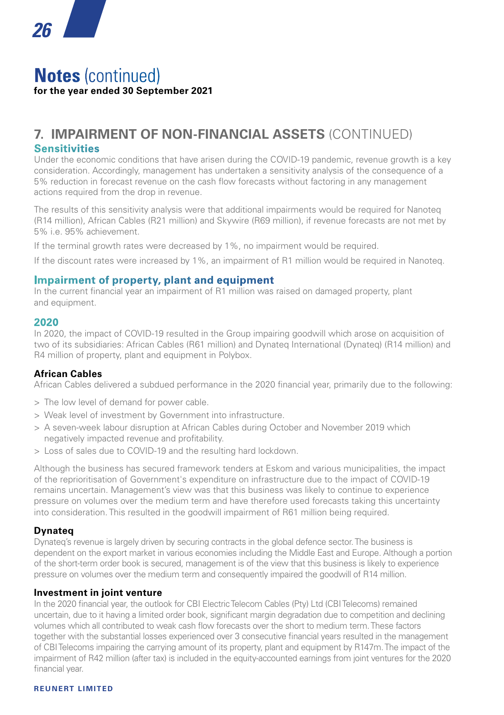## **Notes** (continued) **for the year ended 30 September 2021**

### **7. IMPAIRMENT OF NON-FINANCIAL ASSETS** (CONTINUED) **Sensitivities**

Under the economic conditions that have arisen during the COVID-19 pandemic, revenue growth is a key consideration. Accordingly, management has undertaken a sensitivity analysis of the consequence of a 5% reduction in forecast revenue on the cash flow forecasts without factoring in any management actions required from the drop in revenue.

The results of this sensitivity analysis were that additional impairments would be required for Nanoteq (R14 million), African Cables (R21 million) and Skywire (R69 million), if revenue forecasts are not met by 5% i.e. 95% achievement.

If the terminal growth rates were decreased by 1%, no impairment would be required.

If the discount rates were increased by 1%, an impairment of R1 million would be required in Nanoteq.

#### **Impairment of property, plant and equipment**

In the current financial year an impairment of R1 million was raised on damaged property, plant and equipment.

#### **2020**

In 2020, the impact of COVID-19 resulted in the Group impairing goodwill which arose on acquisition of two of its subsidiaries: African Cables (R61 million) and Dynateq International (Dynateq) (R14 million) and R4 million of property, plant and equipment in Polybox.

#### **African Cables**

African Cables delivered a subdued performance in the 2020 financial year, primarily due to the following:

- > The low level of demand for power cable.
- > Weak level of investment by Government into infrastructure.
- > A seven-week labour disruption at African Cables during October and November 2019 which negatively impacted revenue and profitability.
- > Loss of sales due to COVID-19 and the resulting hard lockdown.

Although the business has secured framework tenders at Eskom and various municipalities, the impact of the reprioritisation of Government's expenditure on infrastructure due to the impact of COVID-19 remains uncertain. Management's view was that this business was likely to continue to experience pressure on volumes over the medium term and have therefore used forecasts taking this uncertainty into consideration. This resulted in the goodwill impairment of R61 million being required.

#### **Dynateq**

Dynateq's revenue is largely driven by securing contracts in the global defence sector. The business is dependent on the export market in various economies including the Middle East and Europe. Although a portion of the short-term order book is secured, management is of the view that this business is likely to experience pressure on volumes over the medium term and consequently impaired the goodwill of R14 million.

#### **Investment in joint venture**

In the 2020 financial year, the outlook for CBI Electric Telecom Cables (Pty) Ltd (CBI Telecoms) remained uncertain, due to it having a limited order book, significant margin degradation due to competition and declining volumes which all contributed to weak cash flow forecasts over the short to medium term. These factors together with the substantial losses experienced over 3 consecutive financial years resulted in the management of CBI Telecoms impairing the carrying amount of its property, plant and equipment by R147m. The impact of the impairment of R42 million (after tax) is included in the equity-accounted earnings from joint ventures for the 2020 financial year.

#### **REUNERT LIMITED**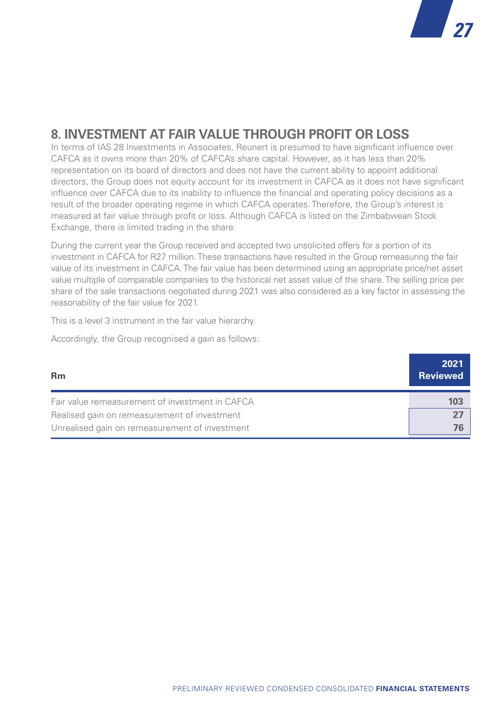

## **8. INVESTMENT AT FAIR VALUE THROUGH PROFIT OR LOSS**

In terms of IAS 28 Investments in Associates, Reunert is presumed to have significant influence over CAFCA as it owns more than 20% of CAFCA's share capital. However, as it has less than 20% representation on its board of directors and does not have the current ability to appoint additional directors, the Group does not equity account for its investment in CAFCA as it does not have significant influence over CAFCA due to its inability to influence the financial and operating policy decisions as a result of the broader operating regime in which CAFCA operates. Therefore, the Group's interest is measured at fair value through profit or loss. Although CAFCA is listed on the Zimbabwean Stock Exchange, there is limited trading in the share.

During the current year the Group received and accepted two unsolicited offers for a portion of its investment in CAFCA for R27 million. These transactions have resulted in the Group remeasuring the fair value of its investment in CAFCA. The fair value has been determined using an appropriate price/net asset value multiple of comparable companies to the historical net asset value of the share. The selling price per share of the sale transactions negotiated during 2021 was also considered as a key factor in assessing the reasonability of the fair value for 2021.

This is a level 3 instrument in the fair value hierarchy.

Accordingly, the Group recognised a gain as follows:

| <b>Rm</b>                                       | 2021<br><b>Reviewed</b> |
|-------------------------------------------------|-------------------------|
| Fair value remeasurement of investment in CAFCA | 103                     |
| Realised gain on remeasurement of investment    |                         |
| Unrealised gain on remeasurement of investment  | 76.                     |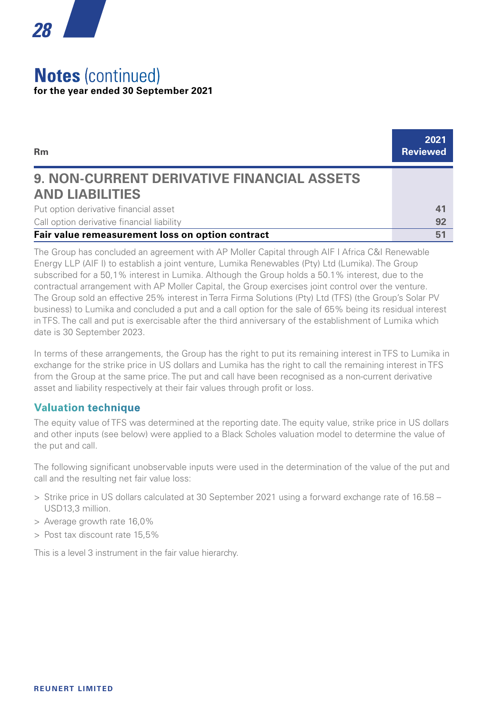## **Notes** (continued) **for the year ended 30 September 2021**

*28*

| <b>Rm</b>                                         | 2021<br><b>Reviewed</b> |
|---------------------------------------------------|-------------------------|
| <b>9. NON-CURRENT DERIVATIVE FINANCIAL ASSETS</b> |                         |
| <b>AND LIABILITIES</b>                            |                         |
| Put option derivative financial asset             | 41                      |
| Call option derivative financial liability        | 92                      |
| Fair value remeasurement loss on option contract  | 51                      |

The Group has concluded an agreement with AP Moller Capital through AIF I Africa C&I Renewable Energy LLP (AIF I) to establish a joint venture, Lumika Renewables (Pty) Ltd (Lumika). The Group subscribed for a 50,1% interest in Lumika. Although the Group holds a 50.1% interest, due to the contractual arrangement with AP Moller Capital, the Group exercises joint control over the venture. The Group sold an effective 25% interest in Terra Firma Solutions (Pty) Ltd (TFS) (the Group's Solar PV business) to Lumika and concluded a put and a call option for the sale of 65% being its residual interest in TFS. The call and put is exercisable after the third anniversary of the establishment of Lumika which date is 30 September 2023.

In terms of these arrangements, the Group has the right to put its remaining interest in TFS to Lumika in exchange for the strike price in US dollars and Lumika has the right to call the remaining interest in TFS from the Group at the same price. The put and call have been recognised as a non-current derivative asset and liability respectively at their fair values through profit or loss.

#### **Valuation technique**

The equity value of TFS was determined at the reporting date. The equity value, strike price in US dollars and other inputs (see below) were applied to a Black Scholes valuation model to determine the value of the put and call.

The following significant unobservable inputs were used in the determination of the value of the put and call and the resulting net fair value loss:

- > Strike price in US dollars calculated at 30 September 2021 using a forward exchange rate of 16.58 USD13,3 million.
- > Average growth rate 16,0%
- > Post tax discount rate 15,5%

This is a level 3 instrument in the fair value hierarchy.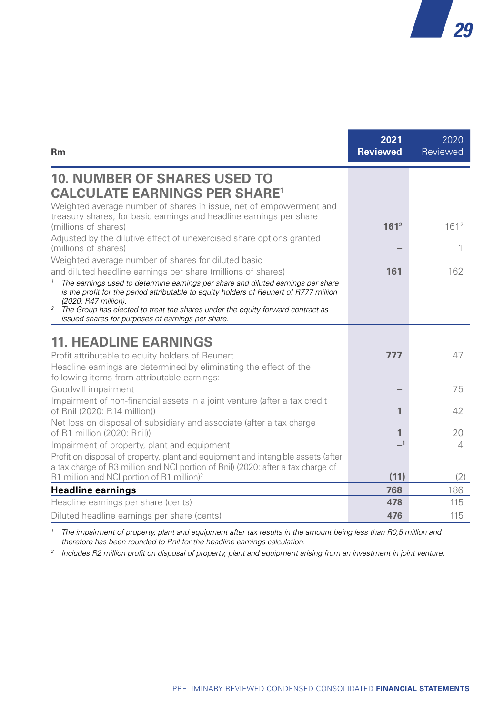

| <b>Rm</b>                                                                                                                                                                                                                                 | 2021<br><b>Reviewed</b>    | 2020<br>Reviewed |
|-------------------------------------------------------------------------------------------------------------------------------------------------------------------------------------------------------------------------------------------|----------------------------|------------------|
| <b>10. NUMBER OF SHARES USED TO</b><br><b>CALCULATE EARNINGS PER SHARE<sup>1</sup></b>                                                                                                                                                    |                            |                  |
| Weighted average number of shares in issue, net of empowerment and<br>treasury shares, for basic earnings and headline earnings per share<br>(millions of shares)<br>Adjusted by the dilutive effect of unexercised share options granted | 161 <sup>2</sup>           | 161 <sup>2</sup> |
| (millions of shares)<br>Weighted average number of shares for diluted basic                                                                                                                                                               |                            |                  |
| and diluted headline earnings per share (millions of shares)                                                                                                                                                                              | 161                        | 162              |
| The earnings used to determine earnings per share and diluted earnings per share<br>is the profit for the period attributable to equity holders of Reunert of R777 million<br>(2020: R47 million).                                        |                            |                  |
| The Group has elected to treat the shares under the equity forward contract as<br>$\boldsymbol{2}$<br>issued shares for purposes of earnings per share.                                                                                   |                            |                  |
| <b>11. HEADLINE EARNINGS</b>                                                                                                                                                                                                              |                            |                  |
| Profit attributable to equity holders of Reunert                                                                                                                                                                                          | 777                        | 47               |
| Headline earnings are determined by eliminating the effect of the<br>following items from attributable earnings:                                                                                                                          |                            |                  |
| Goodwill impairment                                                                                                                                                                                                                       |                            | 75               |
| Impairment of non-financial assets in a joint venture (after a tax credit<br>of Rnil (2020: R14 million))                                                                                                                                 | 1                          | 42               |
| Net loss on disposal of subsidiary and associate (after a tax charge<br>of R1 million (2020: Rnil))                                                                                                                                       | 1                          | 20               |
| Impairment of property, plant and equipment                                                                                                                                                                                               | $\overline{\phantom{0}}$ 1 | 4                |
| Profit on disposal of property, plant and equipment and intangible assets (after<br>a tax charge of R3 million and NCI portion of Rnil) (2020: after a tax charge of<br>R1 million and NCI portion of R1 million) <sup>2</sup>            | (11)                       | (2)              |
| <b>Headline earnings</b>                                                                                                                                                                                                                  | 768                        | 186              |
| Headline earnings per share (cents)                                                                                                                                                                                                       | 478                        | 115              |
| Diluted headline earnings per share (cents)                                                                                                                                                                                               | 476                        | 115              |

<sup>1</sup> The impairment of property, plant and equipment after tax results in the amount being less than R0,5 million and *therefore has been rounded to Rnil for the headline earnings calculation.*

*<sup>2</sup> Includes R2 million profit on disposal of property, plant and equipment arising from an investment in joint venture.*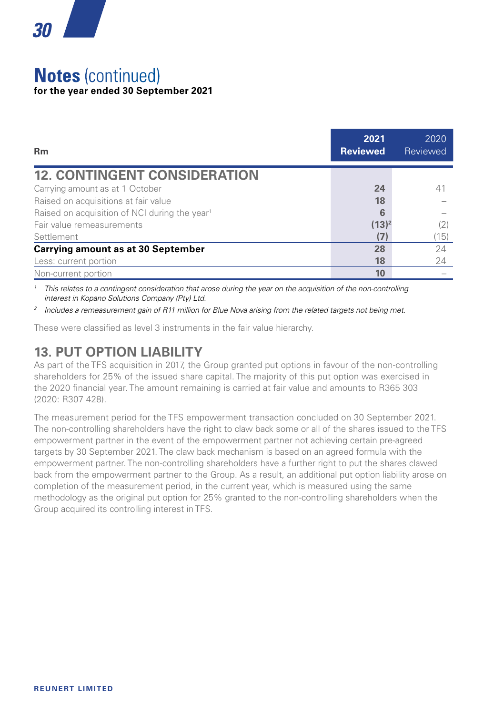

## **Notes** (continued) **for the year ended 30 September 2021**

| <b>Rm</b>                                                 | 2021<br><b>Reviewed</b> | 2020<br>Reviewed |
|-----------------------------------------------------------|-------------------------|------------------|
| <b>12. CONTINGENT CONSIDERATION</b>                       |                         |                  |
| Carrying amount as at 1 October                           | 24                      | 41               |
| Raised on acquisitions at fair value                      | 18                      |                  |
| Raised on acquisition of NCI during the year <sup>1</sup> | 6                       |                  |
| Fair value remeasurements                                 | $(13)^2$                | (2)              |
| Settlement                                                | (7)                     | (15)             |
| <b>Carrying amount as at 30 September</b>                 | 28                      | 24               |
| Less: current portion                                     | 18                      | 24               |
| Non-current portion                                       | 10                      |                  |

*<sup>1</sup> This relates to a contingent consideration that arose during the year on the acquisition of the non-controlling interest in Kopano Solutions Company (Pty) Ltd.*

*<sup>2</sup> Includes a remeasurement gain of R11 million for Blue Nova arising from the related targets not being met.*

These were classified as level 3 instruments in the fair value hierarchy.

## **13. PUT OPTION LIABILITY**

As part of the TFS acquisition in 2017, the Group granted put options in favour of the non-controlling shareholders for 25% of the issued share capital. The majority of this put option was exercised in the 2020 financial year. The amount remaining is carried at fair value and amounts to R365 303 (2020: R307 428).

The measurement period for the TFS empowerment transaction concluded on 30 September 2021. The non-controlling shareholders have the right to claw back some or all of the shares issued to the TFS empowerment partner in the event of the empowerment partner not achieving certain pre-agreed targets by 30 September 2021. The claw back mechanism is based on an agreed formula with the empowerment partner. The non-controlling shareholders have a further right to put the shares clawed back from the empowerment partner to the Group. As a result, an additional put option liability arose on completion of the measurement period, in the current year, which is measured using the same methodology as the original put option for 25% granted to the non-controlling shareholders when the Group acquired its controlling interest in TFS.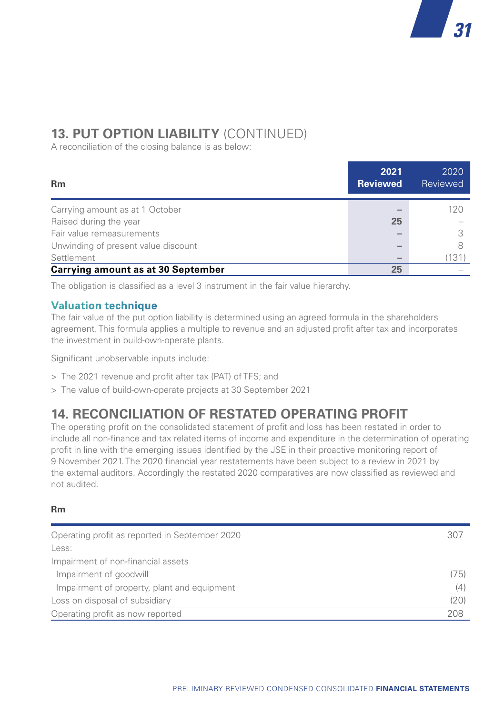## **13. PUT OPTION LIABILITY** (CONTINUED)

A reconciliation of the closing balance is as below:

| <b>Rm</b>                           | 2021<br><b>Reviewed</b>  | 2020<br>Reviewed |
|-------------------------------------|--------------------------|------------------|
| Carrying amount as at 1 October     |                          | 120              |
| Raised during the year              | 25                       |                  |
| Fair value remeasurements           | $\overline{\phantom{a}}$ |                  |
| Unwinding of present value discount | $\overline{\phantom{a}}$ |                  |
| Settlement                          | $\overline{\phantom{a}}$ | 131              |
| Carrying amount as at 30 September  | 25                       |                  |

The obligation is classified as a level 3 instrument in the fair value hierarchy.

#### **Valuation technique**

The fair value of the put option liability is determined using an agreed formula in the shareholders agreement. This formula applies a multiple to revenue and an adjusted profit after tax and incorporates the investment in build-own-operate plants.

Significant unobservable inputs include:

- > The 2021 revenue and profit after tax (PAT) of TFS; and
- > The value of build-own-operate projects at 30 September 2021

## **14. RECONCILIATION OF RESTATED OPERATING PROFIT**

The operating profit on the consolidated statement of profit and loss has been restated in order to include all non-finance and tax related items of income and expenditure in the determination of operating profit in line with the emerging issues identified by the JSE in their proactive monitoring report of 9 November 2021. The 2020 financial year restatements have been subject to a review in 2021 by the external auditors. Accordingly the restated 2020 comparatives are now classified as reviewed and not audited.

#### **Rm**

| Operating profit as reported in September 2020 | 307  |
|------------------------------------------------|------|
| Less:                                          |      |
| Impairment of non-financial assets             |      |
| Impairment of goodwill                         | (75) |
| Impairment of property, plant and equipment    | (4)  |
| Loss on disposal of subsidiary                 | (20) |
| Operating profit as now reported               | 208  |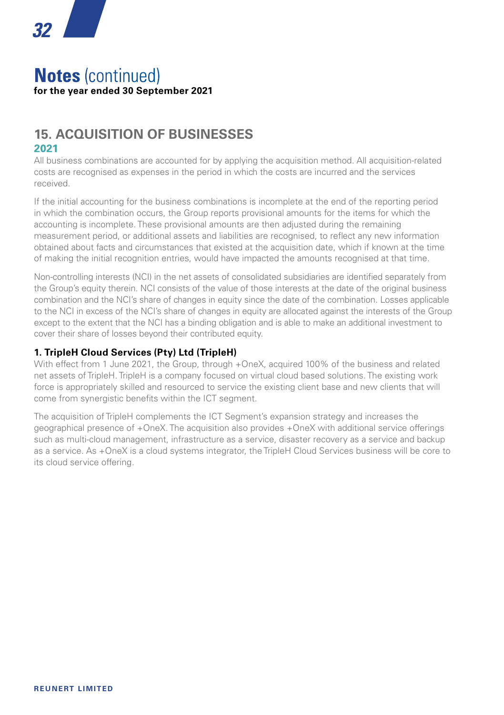### **Notes** (continued) **for the year ended 30 September 2021**

#### **15. ACQUISITION OF BUSINESSES 2021**

All business combinations are accounted for by applying the acquisition method. All acquisition-related costs are recognised as expenses in the period in which the costs are incurred and the services received.

If the initial accounting for the business combinations is incomplete at the end of the reporting period in which the combination occurs, the Group reports provisional amounts for the items for which the accounting is incomplete. These provisional amounts are then adjusted during the remaining measurement period, or additional assets and liabilities are recognised, to reflect any new information obtained about facts and circumstances that existed at the acquisition date, which if known at the time of making the initial recognition entries, would have impacted the amounts recognised at that time.

Non-controlling interests (NCI) in the net assets of consolidated subsidiaries are identified separately from the Group's equity therein. NCI consists of the value of those interests at the date of the original business combination and the NCI's share of changes in equity since the date of the combination. Losses applicable to the NCI in excess of the NCI's share of changes in equity are allocated against the interests of the Group except to the extent that the NCI has a binding obligation and is able to make an additional investment to cover their share of losses beyond their contributed equity.

#### **1. TripleH Cloud Services (Pty) Ltd (TripleH)**

With effect from 1 June 2021, the Group, through +OneX, acquired 100% of the business and related net assets of TripleH. TripleH is a company focused on virtual cloud based solutions. The existing work force is appropriately skilled and resourced to service the existing client base and new clients that will come from synergistic benefits within the ICT segment.

The acquisition of TripleH complements the ICT Segment's expansion strategy and increases the geographical presence of +OneX. The acquisition also provides +OneX with additional service offerings such as multi-cloud management, infrastructure as a service, disaster recovery as a service and backup as a service. As +OneX is a cloud systems integrator, the TripleH Cloud Services business will be core to its cloud service offering.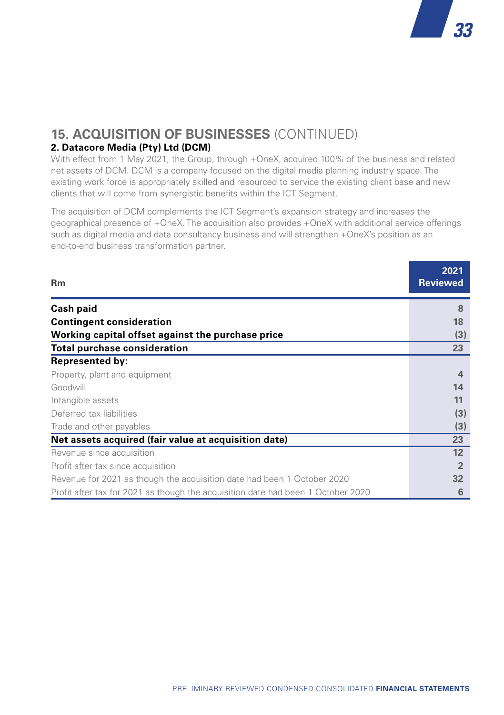#### **15. ACQUISITION OF BUSINESSES** (CONTINUED) **2. Datacore Media (Pty) Ltd (DCM)**

With effect from 1 May 2021, the Group, through +OneX, acquired 100% of the business and related net assets of DCM. DCM is a company focused on the digital media planning industry space. The existing work force is appropriately skilled and resourced to service the existing client base and new clients that will come from synergistic benefits within the ICT Segment.

*33*

The acquisition of DCM complements the ICT Segment's expansion strategy and increases the geographical presence of +OneX. The acquisition also provides +OneX with additional service offerings such as digital media and data consultancy business and will strengthen +OneX's position as an end-to-end business transformation partner.

| <b>Rm</b>                                                                        | 2021<br><b>Reviewed</b> |
|----------------------------------------------------------------------------------|-------------------------|
| <b>Cash paid</b>                                                                 | 8                       |
| <b>Contingent consideration</b>                                                  | 18                      |
| Working capital offset against the purchase price                                | (3)                     |
| <b>Total purchase consideration</b>                                              | 23                      |
| <b>Represented by:</b>                                                           |                         |
| Property, plant and equipment                                                    | 4                       |
| Goodwill                                                                         | 14                      |
| Intangible assets                                                                | 11                      |
| Deferred tax liabilities                                                         | (3)                     |
| Trade and other payables                                                         | (3)                     |
| Net assets acquired (fair value at acquisition date)                             | 23                      |
| Revenue since acquisition                                                        | 12                      |
| Profit after tax since acquisition                                               | $\overline{2}$          |
| Revenue for 2021 as though the acquisition date had been 1 October 2020          | 32                      |
| Profit after tax for 2021 as though the acquisition date had been 1 October 2020 | 6                       |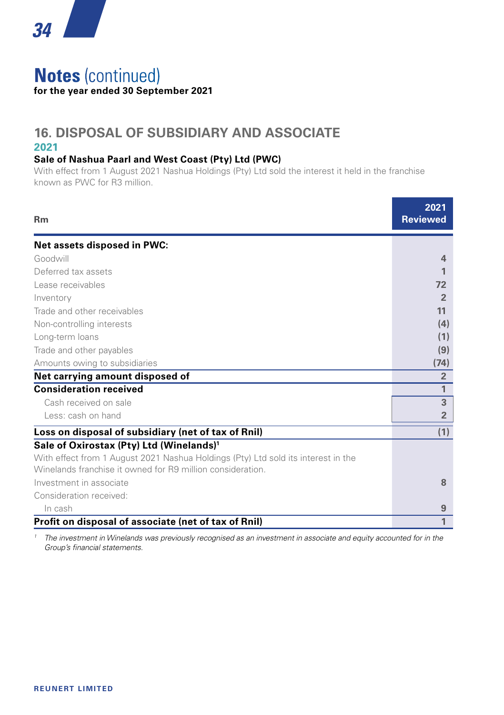

## **Notes** (continued) **for the year ended 30 September 2021**

#### **16. DISPOSAL OF SUBSIDIARY AND ASSOCIATE 2021**

#### **Sale of Nashua Paarl and West Coast (Pty) Ltd (PWC)**

With effect from 1 August 2021 Nashua Holdings (Pty) Ltd sold the interest it held in the franchise known as PWC for R3 million.

| Rm                                                                                | 2021<br><b>Reviewed</b> |
|-----------------------------------------------------------------------------------|-------------------------|
| Net assets disposed in PWC:                                                       |                         |
| Goodwill                                                                          | 4                       |
| Deferred tax assets                                                               |                         |
| Lease receivables                                                                 | 72                      |
| Inventory                                                                         | $\overline{2}$          |
| Trade and other receivables                                                       | 11                      |
| Non-controlling interests                                                         | (4)                     |
| Long-term loans                                                                   | (1)                     |
| Trade and other payables                                                          | (9)                     |
| Amounts owing to subsidiaries                                                     | (74)                    |
| Net carrying amount disposed of                                                   | $\overline{2}$          |
| <b>Consideration received</b>                                                     | 1                       |
| Cash received on sale                                                             | 3                       |
| Less: cash on hand                                                                | $\overline{2}$          |
| Loss on disposal of subsidiary (net of tax of Rnil)                               | (1)                     |
| Sale of Oxirostax (Pty) Ltd (Winelands) <sup>1</sup>                              |                         |
| With effect from 1 August 2021 Nashua Holdings (Pty) Ltd sold its interest in the |                         |
| Winelands franchise it owned for R9 million consideration.                        |                         |
| Investment in associate                                                           | 8                       |
| Consideration received:                                                           |                         |
| In cash                                                                           | 9                       |
| Profit on disposal of associate (net of tax of Rnil)                              | 1                       |

<sup>1</sup> The investment in Winelands was previously recognised as an investment in associate and equity accounted for in the *Group's financial statements.*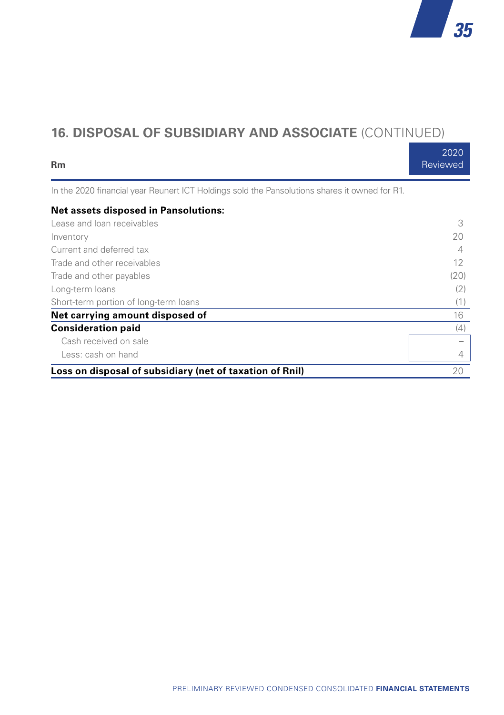## **16. DISPOSAL OF SUBSIDIARY AND ASSOCIATE** (CONTINUED)

| <b>Rm</b>                                                                                     | 2020<br>Reviewed |
|-----------------------------------------------------------------------------------------------|------------------|
| In the 2020 financial year Reunert ICT Holdings sold the Pansolutions shares it owned for R1. |                  |
| <b>Net assets disposed in Pansolutions:</b>                                                   |                  |
| Lease and loan receivables                                                                    | 3                |
| Inventory                                                                                     | 20               |
| Current and deferred tax                                                                      |                  |
| Trade and other receivables                                                                   | 12               |
| Trade and other payables                                                                      | (20)             |
| Long-term loans                                                                               | (2)              |
| Short-term portion of long-term loans                                                         | (1)              |
| Net carrying amount disposed of                                                               | 16               |
| <b>Consideration paid</b>                                                                     | (4)              |
| Cash received on sale                                                                         |                  |
| Less: cash on hand                                                                            | 4                |
| Loss on disposal of subsidiary (net of taxation of Rnil)                                      | 20               |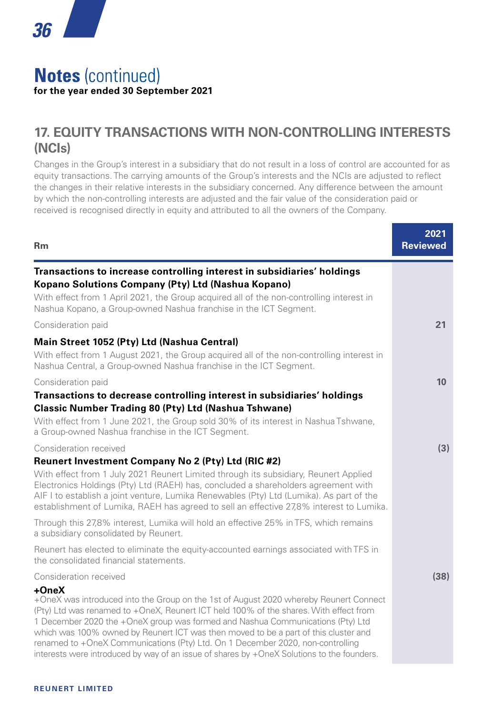

## **Notes** (continued) **for the year ended 30 September 2021**

## **17. EQUITY TRANSACTIONS WITH NON-CONTROLLING INTERESTS (NCIs)**

Changes in the Group's interest in a subsidiary that do not result in a loss of control are accounted for as equity transactions. The carrying amounts of the Group's interests and the NCIs are adjusted to reflect the changes in their relative interests in the subsidiary concerned. Any difference between the amount by which the non-controlling interests are adjusted and the fair value of the consideration paid or received is recognised directly in equity and attributed to all the owners of the Company.

| <b>Rm</b>                                                                                                                                                                                                                                                                                                                                                                                                                                                                                                                                        | 2021<br><b>Reviewed</b> |
|--------------------------------------------------------------------------------------------------------------------------------------------------------------------------------------------------------------------------------------------------------------------------------------------------------------------------------------------------------------------------------------------------------------------------------------------------------------------------------------------------------------------------------------------------|-------------------------|
| Transactions to increase controlling interest in subsidiaries' holdings<br>Kopano Solutions Company (Pty) Ltd (Nashua Kopano)<br>With effect from 1 April 2021, the Group acquired all of the non-controlling interest in                                                                                                                                                                                                                                                                                                                        |                         |
| Nashua Kopano, a Group-owned Nashua franchise in the ICT Segment.<br>Consideration paid                                                                                                                                                                                                                                                                                                                                                                                                                                                          | 21                      |
| Main Street 1052 (Pty) Ltd (Nashua Central)<br>With effect from 1 August 2021, the Group acquired all of the non-controlling interest in<br>Nashua Central, a Group-owned Nashua franchise in the ICT Segment.                                                                                                                                                                                                                                                                                                                                   |                         |
| Consideration paid<br>Transactions to decrease controlling interest in subsidiaries' holdings<br>Classic Number Trading 80 (Pty) Ltd (Nashua Tshwane)                                                                                                                                                                                                                                                                                                                                                                                            | 10                      |
| With effect from 1 June 2021, the Group sold 30% of its interest in Nashua Tshwane,<br>a Group-owned Nashua franchise in the ICT Segment.<br>Consideration received                                                                                                                                                                                                                                                                                                                                                                              | (3)                     |
| Reunert Investment Company No 2 (Pty) Ltd (RIC #2)<br>With effect from 1 July 2021 Reunert Limited through its subsidiary, Reunert Applied<br>Electronics Holdings (Pty) Ltd (RAEH) has, concluded a shareholders agreement with<br>AIF I to establish a joint venture, Lumika Renewables (Pty) Ltd (Lumika). As part of the<br>establishment of Lumika, RAEH has agreed to sell an effective 27,8% interest to Lumika.                                                                                                                          |                         |
| Through this 27.8% interest, Lumika will hold an effective 25% in TFS, which remains<br>a subsidiary consolidated by Reunert.                                                                                                                                                                                                                                                                                                                                                                                                                    |                         |
| Reunert has elected to eliminate the equity-accounted earnings associated with TFS in<br>the consolidated financial statements.                                                                                                                                                                                                                                                                                                                                                                                                                  |                         |
| Consideration received                                                                                                                                                                                                                                                                                                                                                                                                                                                                                                                           | (38)                    |
| +OneX<br>+OneX was introduced into the Group on the 1st of August 2020 whereby Reunert Connect<br>(Pty) Ltd was renamed to +OneX, Reunert ICT held 100% of the shares. With effect from<br>1 December 2020 the +OneX group was formed and Nashua Communications (Pty) Ltd<br>which was 100% owned by Reunert ICT was then moved to be a part of this cluster and<br>renamed to +OneX Communications (Pty) Ltd. On 1 December 2020, non-controlling<br>interests were introduced by way of an issue of shares by +OneX Solutions to the founders. |                         |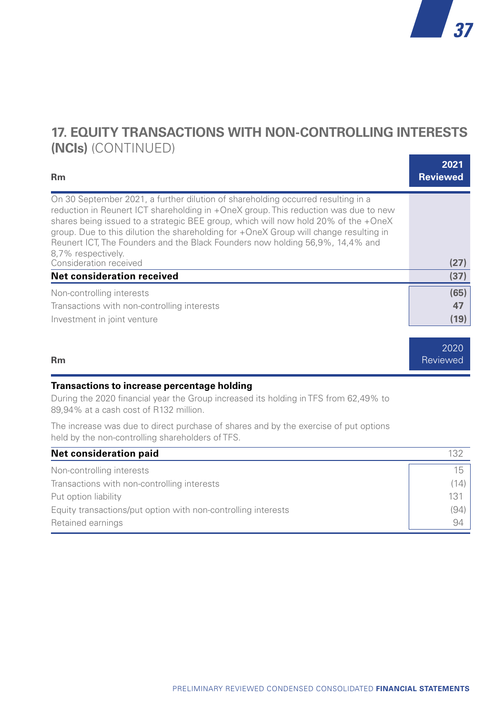

## **17. EQUITY TRANSACTIONS WITH NON-CONTROLLING INTERESTS (NCIs)** (CONTINUED)

| <b>Rm</b>                                                                                                                                                                                                                                                                                                                                                                                                                                                     | 2021<br><b>Reviewed</b> |
|---------------------------------------------------------------------------------------------------------------------------------------------------------------------------------------------------------------------------------------------------------------------------------------------------------------------------------------------------------------------------------------------------------------------------------------------------------------|-------------------------|
| On 30 September 2021, a further dilution of shareholding occurred resulting in a<br>reduction in Reunert ICT shareholding in +OneX group. This reduction was due to new<br>shares being issued to a strategic BEE group, which will now hold 20% of the +OneX<br>group. Due to this dilution the shareholding for +OneX Group will change resulting in<br>Reunert ICT, The Founders and the Black Founders now holding 56,9%, 14,4% and<br>8,7% respectively. |                         |
| Consideration received                                                                                                                                                                                                                                                                                                                                                                                                                                        | (27)                    |
| <b>Net consideration received</b>                                                                                                                                                                                                                                                                                                                                                                                                                             | (37)                    |
| Non-controlling interests                                                                                                                                                                                                                                                                                                                                                                                                                                     | (65)                    |
| Transactions with non-controlling interests                                                                                                                                                                                                                                                                                                                                                                                                                   | 47                      |
| Investment in joint venture                                                                                                                                                                                                                                                                                                                                                                                                                                   | (19)                    |
|                                                                                                                                                                                                                                                                                                                                                                                                                                                               |                         |
|                                                                                                                                                                                                                                                                                                                                                                                                                                                               | 2020                    |
| <b>Rm</b>                                                                                                                                                                                                                                                                                                                                                                                                                                                     | Reviewed                |

#### **Transactions to increase percentage holding**

During the 2020 financial year the Group increased its holding in TFS from 62,49% to 89,94% at a cash cost of R132 million.

The increase was due to direct purchase of shares and by the exercise of put options held by the non-controlling shareholders of TFS.

| Net consideration paid                                        | 132  |
|---------------------------------------------------------------|------|
| Non-controlling interests                                     | 15   |
| Transactions with non-controlling interests                   | (14) |
| Put option liability                                          | 131  |
| Equity transactions/put option with non-controlling interests | (94) |
| Retained earnings                                             | 94   |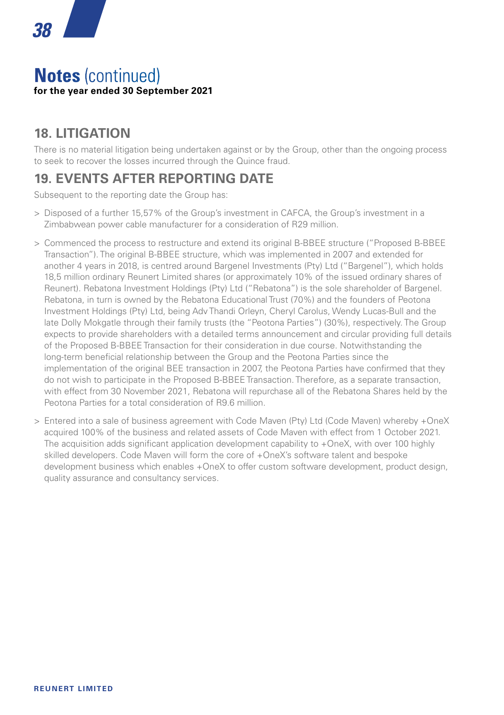#### **Notes** (continued) **for the year ended 30 September 2021**

## **18. LITIGATION**

There is no material litigation being undertaken against or by the Group, other than the ongoing process to seek to recover the losses incurred through the Quince fraud.

## **19. EVENTS AFTER REPORTING DATE**

Subsequent to the reporting date the Group has:

- > Disposed of a further 15,57% of the Group's investment in CAFCA, the Group's investment in a Zimbabwean power cable manufacturer for a consideration of R29 million.
- > Commenced the process to restructure and extend its original B-BBEE structure ("Proposed B-BBEE Transaction"). The original B-BBEE structure, which was implemented in 2007 and extended for another 4 years in 2018, is centred around Bargenel Investments (Pty) Ltd ("Bargenel"), which holds 18,5 million ordinary Reunert Limited shares (or approximately 10% of the issued ordinary shares of Reunert). Rebatona Investment Holdings (Pty) Ltd ("Rebatona") is the sole shareholder of Bargenel. Rebatona, in turn is owned by the Rebatona Educational Trust (70%) and the founders of Peotona Investment Holdings (Pty) Ltd, being Adv Thandi Orleyn, Cheryl Carolus, Wendy Lucas-Bull and the late Dolly Mokgatle through their family trusts (the "Peotona Parties") (30%), respectively. The Group expects to provide shareholders with a detailed terms announcement and circular providing full details of the Proposed B-BBEE Transaction for their consideration in due course. Notwithstanding the long-term beneficial relationship between the Group and the Peotona Parties since the implementation of the original BEE transaction in 2007, the Peotona Parties have confirmed that they do not wish to participate in the Proposed B-BBEE Transaction. Therefore, as a separate transaction, with effect from 30 November 2021, Rebatona will repurchase all of the Rebatona Shares held by the Peotona Parties for a total consideration of R9.6 million.
- > Entered into a sale of business agreement with Code Maven (Pty) Ltd (Code Maven) whereby +OneX acquired 100% of the business and related assets of Code Maven with effect from 1 October 2021. The acquisition adds significant application development capability to +OneX, with over 100 highly skilled developers. Code Maven will form the core of +OneX's software talent and bespoke development business which enables +OneX to offer custom software development, product design, quality assurance and consultancy services.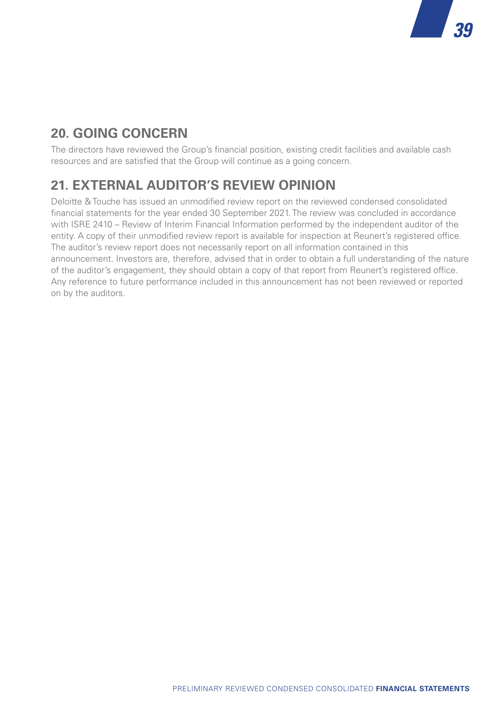## **20. GOING CONCERN**

The directors have reviewed the Group's financial position, existing credit facilities and available cash resources and are satisfied that the Group will continue as a going concern.

*39*

## **21. EXTERNAL AUDITOR'S REVIEW OPINION**

Deloitte & Touche has issued an unmodified review report on the reviewed condensed consolidated financial statements for the year ended 30 September 2021. The review was concluded in accordance with ISRE 2410 – Review of Interim Financial Information performed by the independent auditor of the entity. A copy of their unmodified review report is available for inspection at Reunert's registered office. The auditor's review report does not necessarily report on all information contained in this announcement. Investors are, therefore, advised that in order to obtain a full understanding of the nature of the auditor's engagement, they should obtain a copy of that report from Reunert's registered office. Any reference to future performance included in this announcement has not been reviewed or reported on by the auditors.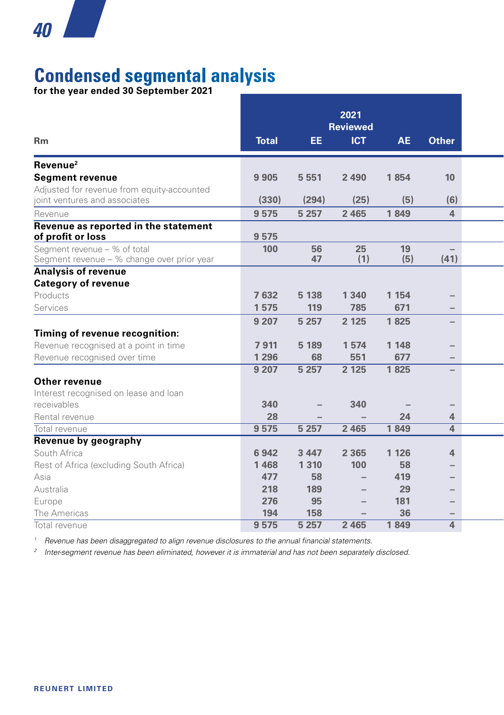# **Condensed segmental analysis**

**for the year ended 30 September 2021**

|                                                           |              |         | 2021<br><b>Reviewed</b>  |           |                          |  |
|-----------------------------------------------------------|--------------|---------|--------------------------|-----------|--------------------------|--|
| <b>Rm</b>                                                 | <b>Total</b> | EE.     | <b>ICT</b>               | <b>AE</b> | <b>Other</b>             |  |
| Revenue <sup>2</sup>                                      |              |         |                          |           |                          |  |
| <b>Segment revenue</b>                                    | 9 9 0 5      | 5 5 5 1 | 2 4 9 0                  | 1854      | 10                       |  |
| Adjusted for revenue from equity-accounted                |              |         |                          |           |                          |  |
| joint ventures and associates                             | (330)        | (294)   | (25)                     | (5)       | (6)                      |  |
| Revenue                                                   | 9575         | 5 2 5 7 | 2 4 6 5                  | 1849      | $\overline{4}$           |  |
| Revenue as reported in the statement<br>of profit or loss | 9575         |         |                          |           |                          |  |
| Segment revenue - % of total                              | 100          | 56      | 25                       | 19        | $\overline{\phantom{a}}$ |  |
| Segment revenue - % change over prior year                |              | 47      | (1)                      | (5)       | (41)                     |  |
| <b>Analysis of revenue</b>                                |              |         |                          |           |                          |  |
| <b>Category of revenue</b>                                |              |         |                          |           |                          |  |
| Products                                                  | 7632         | 5 1 38  | 1 3 4 0                  | 1 1 5 4   |                          |  |
| Services                                                  | 1575         | 119     | 785                      | 671       |                          |  |
|                                                           | 9 2 0 7      | 5 2 5 7 | 2 1 2 5                  | 1825      | $\overline{\phantom{m}}$ |  |
| Timing of revenue recognition:                            |              |         |                          |           |                          |  |
| Revenue recognised at a point in time                     | 7911         | 5 1 8 9 | 1574                     | 1 1 4 8   | $\overline{\phantom{a}}$ |  |
| Revenue recognised over time                              | 1 2 9 6      | 68      | 551                      | 677       | $\overline{\phantom{m}}$ |  |
|                                                           | 9207         | 5257    | 2 1 2 5                  | 1825      | $\overline{\phantom{a}}$ |  |
| Other revenue                                             |              |         |                          |           |                          |  |
| Interest recognised on lease and loan                     |              |         |                          |           |                          |  |
| receivables                                               | 340          |         | 340                      |           |                          |  |
| Rental revenue                                            | 28           |         |                          | 24        | $\overline{4}$           |  |
| Total revenue                                             | 9 5 7 5      | 5 2 5 7 | 2 4 6 5                  | 1849      | $\overline{4}$           |  |
| Revenue by geography                                      |              |         |                          |           |                          |  |
| South Africa                                              | 6942         | 3 4 4 7 | 2 3 6 5                  | 1 1 2 6   | $\overline{4}$           |  |
| Rest of Africa (excluding South Africa)                   | 1468         | 1 3 1 0 | 100                      | 58        | $\qquad \qquad -$        |  |
| Asia                                                      | 477          | 58      | $\overline{\phantom{0}}$ | 419       | $\overline{\phantom{m}}$ |  |
| Australia                                                 | 218          | 189     | $\overline{\phantom{0}}$ | 29        | $\qquad \qquad$          |  |
| Europe                                                    | 276          | 95      | $\overline{\phantom{0}}$ | 181       | $\qquad \qquad$          |  |
| The Americas                                              | 194          | 158     |                          | 36        | $\overline{\phantom{a}}$ |  |
| Total revenue                                             | 9575         | 5257    | 2 4 6 5                  | 1849      | $\overline{4}$           |  |

*<sup>1</sup> Revenue has been disaggregated to align revenue disclosures to the annual financial statements.*

*<sup>2</sup> Inter-segment revenue has been eliminated, however it is immaterial and has not been separately disclosed.*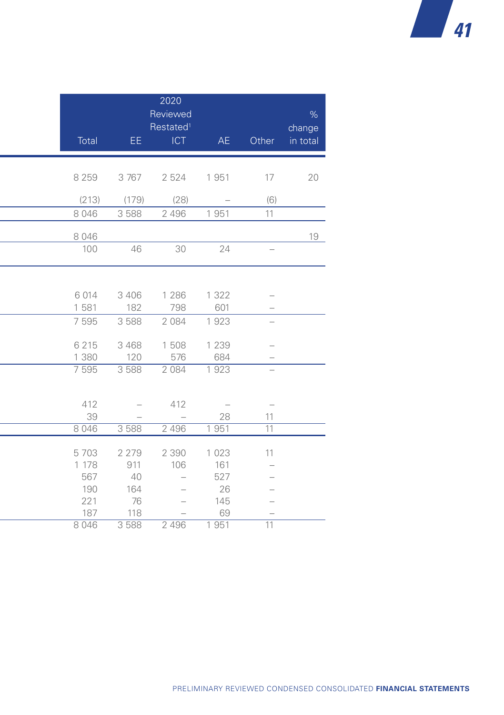| %<br>change<br>AE<br>Other<br>in total                |      | 2020<br>Reviewed<br>Restated <sup>1</sup><br>ICT<br>EE. |         | Total         |
|-------------------------------------------------------|------|---------------------------------------------------------|---------|---------------|
| 20<br>1951<br>17                                      |      | 2 5 2 4                                                 | 3767    | 8 2 5 9       |
| (6)<br>$\hspace{0.1mm}-\hspace{0.1mm}$<br>  951<br>11 | (28) | (179)<br>2 4 9 6                                        | 3 5 8 8 | (213)<br>8046 |

| 20 | 17                              | 1951                            | 2 5 2 4                  | 3 767                    | 8 2 5 9 |  |
|----|---------------------------------|---------------------------------|--------------------------|--------------------------|---------|--|
|    | (6)                             | $\overline{\phantom{m}}$        | (28)                     | (179)                    | (213)   |  |
|    | 11                              | 1951                            | 2 4 9 6                  | 3 5 8 8                  | 8 0 4 6 |  |
|    |                                 |                                 |                          |                          |         |  |
| 19 |                                 |                                 |                          |                          | 8 0 4 6 |  |
|    | $\overline{\phantom{m}}$        | 24                              | 30                       | 46                       | 100     |  |
|    |                                 |                                 |                          |                          |         |  |
|    |                                 |                                 |                          |                          |         |  |
|    | $\hspace{0.1mm}-\hspace{0.1mm}$ | 1 3 2 2                         | 1 2 8 6                  | 3 4 0 6                  | 6 0 1 4 |  |
|    | $\hspace{0.1mm}-\hspace{0.1mm}$ | 601                             | 798                      | 182                      | 1 5 8 1 |  |
|    | $\overline{\phantom{m}}$        | 1923                            | 2 0 8 4                  | 3 5 8 8                  | 7 5 9 5 |  |
|    |                                 |                                 |                          |                          |         |  |
|    | $\overline{\phantom{a}}$        | 1 2 3 9                         | 1 508                    | 3 4 6 8                  | 6 2 1 5 |  |
|    | $\hspace{0.1mm}-\hspace{0.1mm}$ | 684                             | 576                      | 120                      | 1 3 8 0 |  |
|    | $\overline{\phantom{m}}$        | 1923                            | 2 0 8 4                  | 3 5 8 8                  | 7 5 9 5 |  |
|    |                                 |                                 |                          |                          |         |  |
|    |                                 |                                 |                          |                          |         |  |
|    | $\hspace{0.1mm}-\hspace{0.1mm}$ | $\hspace{0.1mm}-\hspace{0.1mm}$ | 412                      | $\overline{\phantom{a}}$ | 412     |  |
|    | 11                              | 28                              | $\overline{\phantom{m}}$ | $\overline{\phantom{a}}$ | 39      |  |
|    | 11                              | 1951                            | 2 4 9 6                  | 3 5 8 8                  | 8 0 4 6 |  |
|    | 11                              | 1 0 2 3                         | 2 3 9 0                  | 2 2 7 9                  | 5703    |  |
|    | $\hspace{0.1mm}-\hspace{0.1mm}$ | 161                             | 106                      | 911                      | 1 178   |  |
|    | $\hspace{0.1mm}-\hspace{0.1mm}$ | 527                             | $\overline{\phantom{0}}$ | 40                       | 567     |  |
|    | $\overline{\phantom{a}}$        | 26                              | $\overline{\phantom{0}}$ | 164                      | 190     |  |
|    | $\overline{\phantom{a}}$        | 145                             | $\overline{\phantom{a}}$ | 76                       | 221     |  |
|    | $\hspace{0.1mm}-\hspace{0.1mm}$ | 69                              | $\overline{\phantom{m}}$ | 118                      | 187     |  |
|    | 11                              | 1951                            | 2 4 9 6                  | 3 5 8 8                  | 8 0 4 6 |  |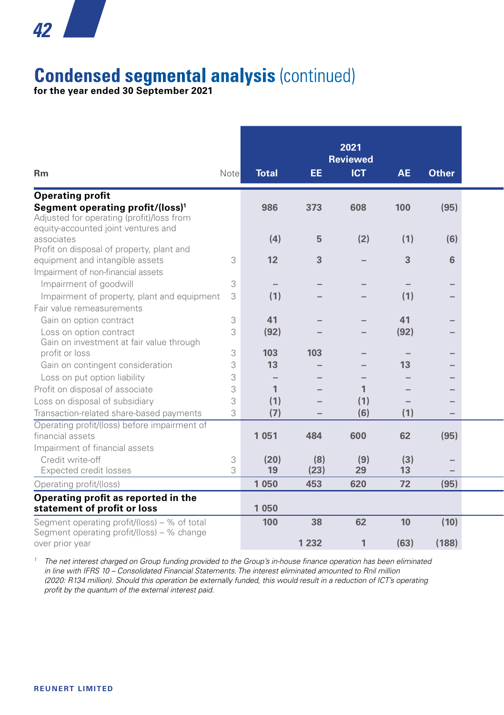## *42* **Alban**

# **Condensed segmental analysis** (continued)

**for the year ended 30 September 2021**

|                                                                                                                                  |      |              |         | 2021<br><b>Reviewed</b> |           |                   |
|----------------------------------------------------------------------------------------------------------------------------------|------|--------------|---------|-------------------------|-----------|-------------------|
| <b>Rm</b>                                                                                                                        | Note | <b>Total</b> | EE.     | <b>ICT</b>              | <b>AE</b> | <b>Other</b>      |
| <b>Operating profit</b>                                                                                                          |      |              |         |                         |           |                   |
| Segment operating profit/(loss) <sup>1</sup><br>Adjusted for operating (profit)/loss from<br>equity-accounted joint ventures and |      | 986          | 373     | 608                     | 100       | (95)              |
| associates                                                                                                                       |      | (4)          | 5       | (2)                     | (1)       | (6)               |
| Profit on disposal of property, plant and                                                                                        |      |              |         |                         |           |                   |
| equipment and intangible assets                                                                                                  | 3    | 12           | 3       |                         | 3         | 6                 |
| Impairment of non-financial assets                                                                                               |      |              |         |                         |           |                   |
| Impairment of goodwill                                                                                                           | 3    |              |         |                         |           |                   |
| Impairment of property, plant and equipment                                                                                      | 3    | (1)          |         |                         | (1)       |                   |
| Fair value remeasurements                                                                                                        |      |              |         |                         |           |                   |
| Gain on option contract                                                                                                          | 3    | 41           |         |                         | 41        |                   |
| Loss on option contract                                                                                                          | 3    | (92)         |         |                         | (92)      |                   |
| Gain on investment at fair value through                                                                                         |      |              |         |                         |           |                   |
| profit or loss                                                                                                                   | 3    | 103          | 103     |                         |           |                   |
| Gain on contingent consideration                                                                                                 | 3    | 13           |         |                         | 13        |                   |
| Loss on put option liability                                                                                                     | 3    |              |         |                         |           |                   |
| Profit on disposal of associate                                                                                                  | 3    | $\mathbf{1}$ |         | 1                       |           |                   |
| Loss on disposal of subsidiary                                                                                                   | 3    | (1)          |         | (1)                     |           |                   |
| Transaction-related share-based payments                                                                                         | 3    | (7)          |         | (6)                     | (1)       |                   |
| Operating profit/(loss) before impairment of                                                                                     |      |              |         |                         |           |                   |
| financial assets                                                                                                                 |      | 1 0 5 1      | 484     | 600                     | 62        | (95)              |
| Impairment of financial assets                                                                                                   |      |              |         |                         |           |                   |
| Credit write-off                                                                                                                 | 3    | (20)         | (8)     | (9)                     | (3)       | $\qquad \qquad -$ |
| Expected credit losses                                                                                                           | 3    | 19           | (23)    | 29                      | 13        |                   |
| Operating profit/(loss)                                                                                                          |      | 1 0 5 0      | 453     | 620                     | 72        | (95)              |
| Operating profit as reported in the<br>statement of profit or loss                                                               |      | 1 0 5 0      |         |                         |           |                   |
| Segment operating profit/(loss) $-$ % of total                                                                                   |      | 100          | 38      | 62                      | 10        | (10)              |
| Segment operating profit/(loss) – % change                                                                                       |      |              |         |                         |           |                   |
| over prior year                                                                                                                  |      |              | 1 2 3 2 | 1                       | (63)      | (188)             |

<sup>1</sup> The net interest charged on Group funding provided to the Group's in-house finance operation has been eliminated *in line with IFRS 10 – Consolidated Financial Statements. The interest eliminated amounted to Rnil million (2020: R134 million). Should this operation be externally funded, this would result in a reduction of ICT's operating profit by the quantum of the external interest paid.*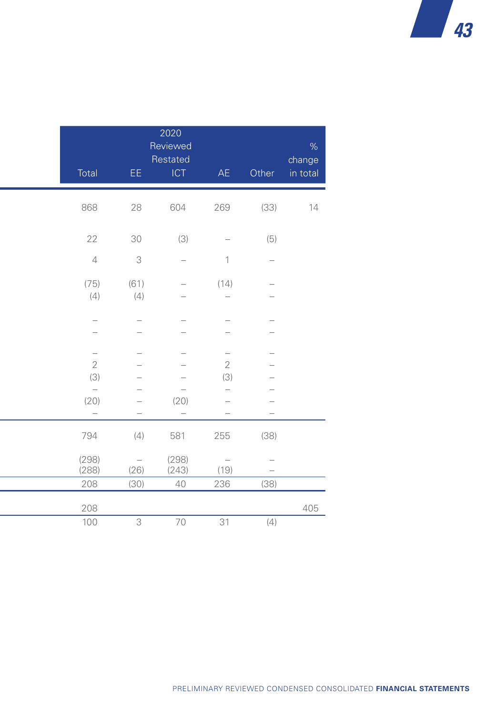| $\%$<br>change<br>in total | Other | AE                              | 2020<br>Reviewed<br>Restated<br>ICT                  | EE.                             | Total                    |
|----------------------------|-------|---------------------------------|------------------------------------------------------|---------------------------------|--------------------------|
|                            |       |                                 |                                                      |                                 |                          |
| 14                         | (33)  | 269                             | 604                                                  | 28                              | 868                      |
|                            |       |                                 |                                                      |                                 |                          |
| (5)                        |       | $\overline{\phantom{m}}$        | (3)                                                  | 30                              | 22                       |
| $\overline{\phantom{m}}$   |       | $\overline{1}$                  | $\overline{\phantom{m}}$                             | $\mathsf 3$                     | $\overline{4}$           |
| $\overline{\phantom{0}}$   |       | (14)                            | $\overline{\phantom{0}}$                             | (61)                            | (75)                     |
|                            |       | $\overline{\phantom{0}}$        | $\overline{\phantom{0}}$                             | (4)                             | (4)                      |
|                            |       |                                 |                                                      |                                 |                          |
|                            |       |                                 |                                                      |                                 |                          |
|                            |       |                                 |                                                      |                                 |                          |
| $\overline{\phantom{0}}$   |       | $\qquad \qquad -$               | $\overline{\phantom{0}}$                             |                                 | $\qquad \qquad -$        |
| -<br>-                     |       | $\mathbf{2}$<br>(3)             | $\overline{\phantom{0}}$<br>$\overline{\phantom{a}}$ | -<br>-                          | $\mathbf{2}$<br>(3)      |
|                            |       | $\qquad \qquad -$               | $\overline{\phantom{a}}$                             | $\overline{\phantom{0}}$        | $\overline{\phantom{0}}$ |
|                            |       | $\overline{\phantom{a}}$        | (20)                                                 | $\overline{\phantom{0}}$        | (20)                     |
| $\overline{\phantom{a}}$   |       | $\overline{\phantom{m}}$        | $\overline{\phantom{m}}$                             | $\overline{\phantom{0}}$        | $\overline{\phantom{m}}$ |
|                            | (38)  | 255                             | 581                                                  | (4)                             | 794                      |
|                            |       |                                 |                                                      |                                 |                          |
| $\overline{\phantom{m}}$   |       | $\hspace{0.1mm}-\hspace{0.1mm}$ | (298)                                                | $\hspace{0.1mm}-\hspace{0.1mm}$ | (298)                    |
| $\overline{\phantom{m}}$   |       | (19)                            | (243)                                                | (26)                            | (288)                    |
|                            | (38)  | 236                             | 40                                                   | (30)                            | 208                      |
| 405                        |       |                                 |                                                      |                                 | 208                      |
|                            | (4)   | 31                              | 70                                                   | $\overline{\mathbf{3}}$         | 100                      |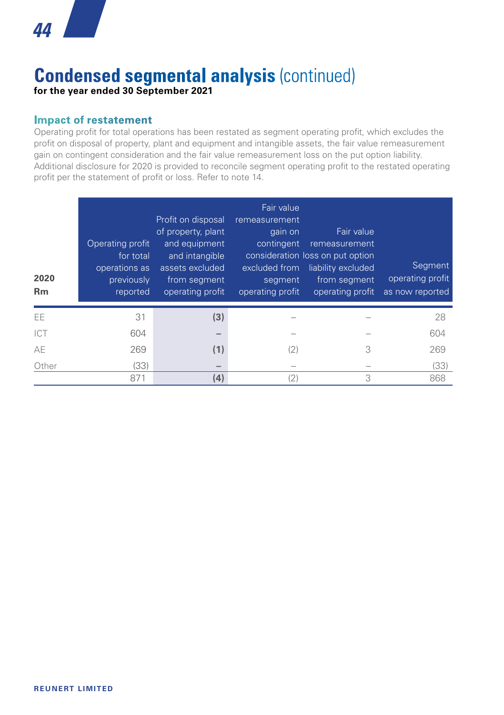

## **Condensed segmental analysis** (continued) **for the year ended 30 September 2021**

#### **Impact of restatement**

Operating profit for total operations has been restated as segment operating profit, which excludes the profit on disposal of property, plant and equipment and intangible assets, the fair value remeasurement gain on contingent consideration and the fair value remeasurement loss on the put option liability. Additional disclosure for 2020 is provided to reconcile segment operating profit to the restated operating profit per the statement of profit or loss. Refer to note 14.

| 2020<br><b>Rm</b> | Operating profit<br>for total<br>operations as<br>previously<br>reported | Profit on disposal<br>of property, plant<br>and equipment<br>and intangible<br>assets excluded<br>from segment<br>operating profit | Fair value<br>remeasurement<br>gain on<br>contingent<br>excluded from<br>segment<br>operating profit | Fair value<br>remeasurement<br>consideration loss on put option<br>liability excluded<br>from segment<br>operating profit | Segment<br>operating profit<br>as now reported |
|-------------------|--------------------------------------------------------------------------|------------------------------------------------------------------------------------------------------------------------------------|------------------------------------------------------------------------------------------------------|---------------------------------------------------------------------------------------------------------------------------|------------------------------------------------|
| <b>EE</b>         | 31                                                                       | (3)                                                                                                                                |                                                                                                      |                                                                                                                           | 28                                             |
| ICT               | 604                                                                      |                                                                                                                                    |                                                                                                      |                                                                                                                           | 604                                            |
| AE                | 269                                                                      | (1)                                                                                                                                | (2)                                                                                                  | 3                                                                                                                         | 269                                            |
| Other             | (33)                                                                     | $\overline{\phantom{a}}$                                                                                                           |                                                                                                      |                                                                                                                           | (33)                                           |
|                   | 871                                                                      | (4)                                                                                                                                | (2)                                                                                                  | 3                                                                                                                         | 868                                            |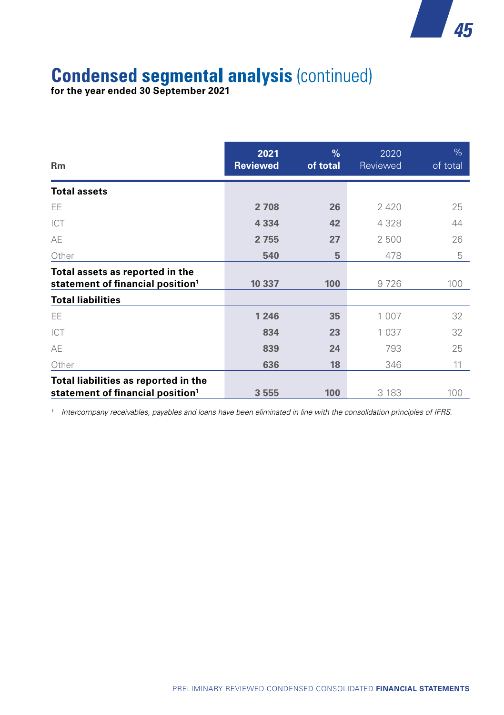

# **Condensed segmental analysis** (continued)

**for the year ended 30 September 2021**

| Rm                                                                                   | 2021<br><b>Reviewed</b> | $\%$<br>of total | 2020<br>Reviewed | %<br>of total |
|--------------------------------------------------------------------------------------|-------------------------|------------------|------------------|---------------|
| <b>Total assets</b>                                                                  |                         |                  |                  |               |
| EE                                                                                   | 2 7 0 8                 | 26               | 2 4 2 0          | 25            |
| ICT                                                                                  | 4 3 3 4                 | 42               | 4 3 2 8          | 44            |
| AE                                                                                   | 2 7 5 5                 | 27               | 2 500            | 26            |
| Other                                                                                | 540                     | 5                | 478              | 5             |
| Total assets as reported in the<br>statement of financial position <sup>1</sup>      | 10 337                  | 100              | 9726             | 100           |
| <b>Total liabilities</b>                                                             |                         |                  |                  |               |
| EE.                                                                                  | 1 2 4 6                 | 35               | 1 0 0 7          | 32            |
| ICT                                                                                  | 834                     | 23               | 1 0 3 7          | 32            |
| AE                                                                                   | 839                     | 24               | 793              | 25            |
| Other                                                                                | 636                     | 18               | 346              | 11            |
| Total liabilities as reported in the<br>statement of financial position <sup>1</sup> | 3 5 5 5                 | 100              | 3 1 8 3          | 100           |

*<sup>1</sup> Intercompany receivables, payables and loans have been eliminated in line with the consolidation principles of IFRS.*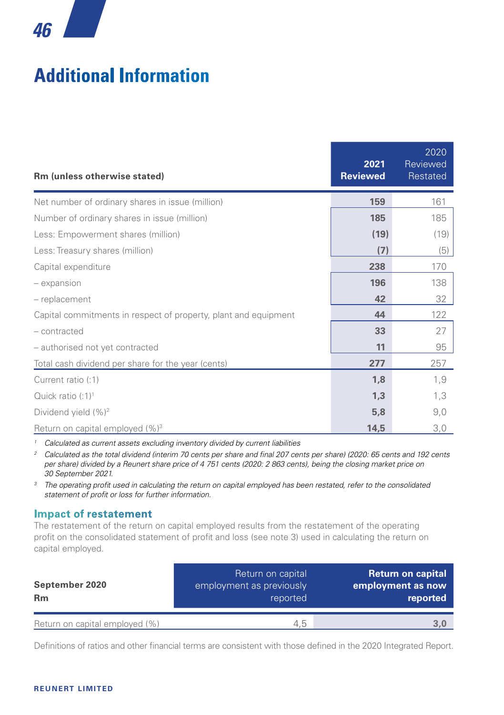# **Additional Information**

| Rm (unless otherwise stated)                                    | 2021<br><b>Reviewed</b> | 2020<br>Reviewed<br>Restated |
|-----------------------------------------------------------------|-------------------------|------------------------------|
| Net number of ordinary shares in issue (million)                | 159                     | 161                          |
| Number of ordinary shares in issue (million)                    | 185                     | 185                          |
| Less: Empowerment shares (million)                              | (19)                    | (19)                         |
| Less: Treasury shares (million)                                 | (7)                     | (5)                          |
| Capital expenditure                                             | 238                     | 170                          |
| - expansion                                                     | 196                     | 138                          |
| - replacement                                                   | 42                      | 32                           |
| Capital commitments in respect of property, plant and equipment | 44                      | 122                          |
| - contracted                                                    | 33                      | 27                           |
| - authorised not yet contracted                                 | 11                      | 95                           |
| Total cash dividend per share for the year (cents)              | 277                     | 257                          |
| Current ratio (:1)                                              | 1,8                     | 1,9                          |
| Quick ratio $(:1)^1$                                            | 1,3                     | 1,3                          |
| Dividend yield (%) <sup>2</sup>                                 | 5,8                     | 9,0                          |
| Return on capital employed (%) <sup>3</sup>                     | 14,5                    | 3,0                          |

*<sup>1</sup> Calculated as current assets excluding inventory divided by current liabilities*

*<sup>2</sup> Calculated as the total dividend (interim 70 cents per share and final 207 cents per share) (2020: 65 cents and 192 cents per share) divided by a Reunert share price of 4 751 cents (2020: 2 863 cents), being the closing market price on 30 September 2021.*

<sup>3</sup> The operating profit used in calculating the return on capital employed has been restated, refer to the consolidated *statement of profit or loss for further information.*

#### **Impact of restatement**

The restatement of the return on capital employed results from the restatement of the operating profit on the consolidated statement of profit and loss (see note 3) used in calculating the return on capital employed.

| September 2020<br><b>Rm</b>    | Return on capital<br>employment as previously<br>reported | <b>Return on capital</b><br>employment as now<br>reported |
|--------------------------------|-----------------------------------------------------------|-----------------------------------------------------------|
| Return on capital employed (%) |                                                           |                                                           |
|                                | 4.5                                                       | 3.0                                                       |

Definitions of ratios and other financial terms are consistent with those defined in the 2020 Integrated Report.